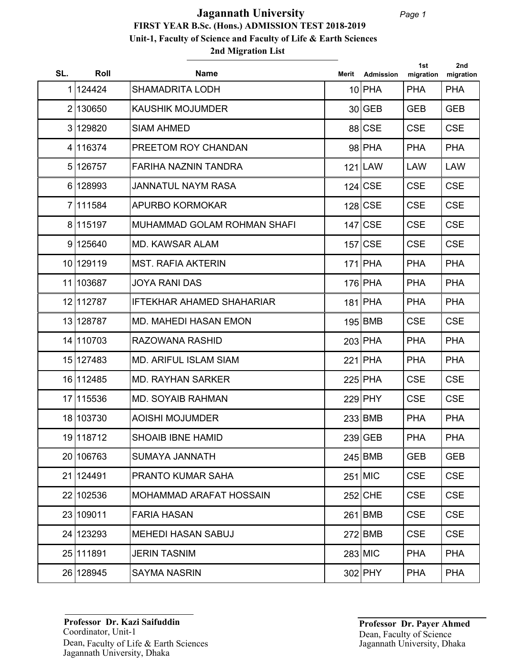# **2nd Migration List FIRST YEAR B.Sc. (Hons.) ADMISSION TEST 2018-2019 Unit-1, Faculty of Science and Faculty of Life & Earth Sciences Jagannath University**

| SL. | Roll      | <b>Name</b>                      | Merit | <b>Admission</b> | 1st<br>migration | 2nd<br>migration |
|-----|-----------|----------------------------------|-------|------------------|------------------|------------------|
|     | 1 124424  | <b>SHAMADRITA LODH</b>           |       | $10$ PHA         | <b>PHA</b>       | <b>PHA</b>       |
|     | 2 130650  | <b>KAUSHIK MOJUMDER</b>          |       | 30 GEB           | <b>GEB</b>       | <b>GEB</b>       |
|     | 3 129820  | <b>SIAM AHMED</b>                |       | 88 CSE           | <b>CSE</b>       | <b>CSE</b>       |
|     | 4 116374  | PREETOM ROY CHANDAN              |       | $98$ PHA         | <b>PHA</b>       | <b>PHA</b>       |
|     | 5 126757  | FARIHA NAZNIN TANDRA             |       | $121$ LAW        | <b>LAW</b>       | <b>LAW</b>       |
|     | 6 128993  | <b>JANNATUL NAYM RASA</b>        |       | $124$ CSE        | <b>CSE</b>       | <b>CSE</b>       |
|     | 7 111584  | <b>APURBO KORMOKAR</b>           |       | $128$ CSE        | <b>CSE</b>       | <b>CSE</b>       |
|     | 8 115197  | MUHAMMAD GOLAM ROHMAN SHAFI      |       | $147$ CSE        | <b>CSE</b>       | <b>CSE</b>       |
|     | 9 125 640 | <b>MD. KAWSAR ALAM</b>           |       | $157$ CSE        | <b>CSE</b>       | <b>CSE</b>       |
|     | 10 129119 | <b>MST. RAFIA AKTERIN</b>        |       | $171$ PHA        | <b>PHA</b>       | <b>PHA</b>       |
|     | 11 103687 | <b>JOYA RANI DAS</b>             |       | $176$ PHA        | <b>PHA</b>       | <b>PHA</b>       |
|     | 12 112787 | <b>IFTEKHAR AHAMED SHAHARIAR</b> |       | $181$ PHA        | <b>PHA</b>       | <b>PHA</b>       |
|     | 13 128787 | <b>MD. MAHEDI HASAN EMON</b>     |       | 195 BMB          | <b>CSE</b>       | <b>CSE</b>       |
|     | 14 110703 | RAZOWANA RASHID                  |       | $203$ PHA        | <b>PHA</b>       | <b>PHA</b>       |
|     | 15 127483 | <b>MD. ARIFUL ISLAM SIAM</b>     |       | $221$ PHA        | <b>PHA</b>       | <b>PHA</b>       |
|     | 16 112485 | <b>MD. RAYHAN SARKER</b>         |       | $225$ PHA        | <b>CSE</b>       | <b>CSE</b>       |
|     | 17 115536 | <b>MD. SOYAIB RAHMAN</b>         |       | 229 PHY          | <b>CSE</b>       | <b>CSE</b>       |
|     | 18 103730 | <b>AOISHI MOJUMDER</b>           |       | 233 BMB          | <b>PHA</b>       | <b>PHA</b>       |
|     | 19 118712 | <b>SHOAIB IBNE HAMID</b>         |       | 239 GEB          | <b>PHA</b>       | <b>PHA</b>       |
|     | 20 106763 | <b>SUMAYA JANNATH</b>            |       | $245$ BMB        | <b>GEB</b>       | <b>GEB</b>       |
|     | 21 124491 | <b>PRANTO KUMAR SAHA</b>         |       | 251 MIC          | <b>CSE</b>       | <b>CSE</b>       |
|     | 22 102536 | MOHAMMAD ARAFAT HOSSAIN          |       | 252 CHE          | <b>CSE</b>       | <b>CSE</b>       |
|     | 23 109011 | <b>FARIA HASAN</b>               |       | $261$ BMB        | <b>CSE</b>       | <b>CSE</b>       |
|     | 24 123293 | <b>MEHEDI HASAN SABUJ</b>        |       | $272$ BMB        | <b>CSE</b>       | <b>CSE</b>       |
|     | 25 111891 | <b>JERIN TASNIM</b>              |       | $283$ MIC        | <b>PHA</b>       | <b>PHA</b>       |
|     | 26 128945 | <b>SAYMA NASRIN</b>              |       | 302 PHY          | <b>PHA</b>       | <b>PHA</b>       |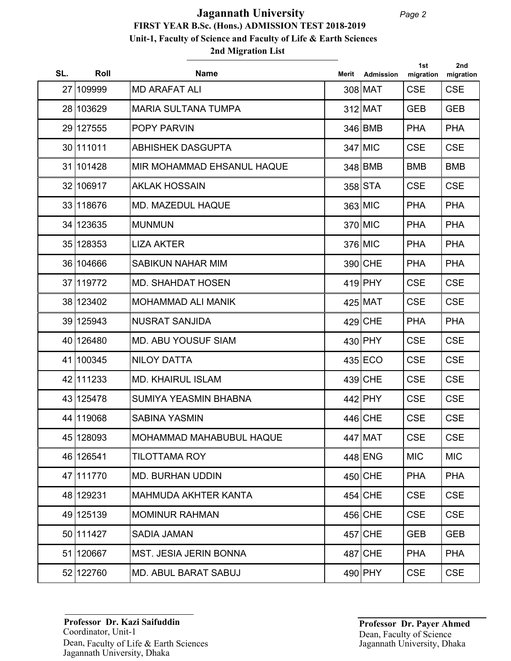| SL. | Roll      | <b>Name</b>                   | Merit | Admission | 1st<br>migration | 2nd<br>migration |
|-----|-----------|-------------------------------|-------|-----------|------------------|------------------|
|     | 27 109999 | <b>MD ARAFAT ALI</b>          |       | 308 MAT   | <b>CSE</b>       | <b>CSE</b>       |
|     | 28 103629 | <b>MARIA SULTANA TUMPA</b>    |       | 312 MAT   | <b>GEB</b>       | <b>GEB</b>       |
|     | 29 127555 | <b>POPY PARVIN</b>            |       | 346 BMB   | <b>PHA</b>       | <b>PHA</b>       |
|     | 30 111011 | <b>ABHISHEK DASGUPTA</b>      |       | $347$ MIC | <b>CSE</b>       | <b>CSE</b>       |
|     | 31 101428 | MIR MOHAMMAD EHSANUL HAQUE    |       | 348 BMB   | <b>BMB</b>       | <b>BMB</b>       |
|     | 32 106917 | <b>AKLAK HOSSAIN</b>          |       | 358 STA   | <b>CSE</b>       | <b>CSE</b>       |
|     | 33 118676 | MD. MAZEDUL HAQUE             |       | 363 MIC   | <b>PHA</b>       | <b>PHA</b>       |
|     | 34 123635 | <b>MUNMUN</b>                 |       | 370 MIC   | <b>PHA</b>       | <b>PHA</b>       |
|     | 35 128353 | <b>LIZA AKTER</b>             |       | 376 MIC   | <b>PHA</b>       | <b>PHA</b>       |
|     | 36 104666 | SABIKUN NAHAR MIM             |       | 390 CHE   | <b>PHA</b>       | <b>PHA</b>       |
|     | 37 119772 | <b>MD. SHAHDAT HOSEN</b>      |       | $419$ PHY | <b>CSE</b>       | <b>CSE</b>       |
|     | 38 123402 | <b>MOHAMMAD ALI MANIK</b>     |       | $425$ MAT | <b>CSE</b>       | <b>CSE</b>       |
|     | 39 125943 | <b>NUSRAT SANJIDA</b>         |       | $429$ CHE | <b>PHA</b>       | <b>PHA</b>       |
|     | 40 126480 | <b>MD. ABU YOUSUF SIAM</b>    |       | 430 PHY   | <b>CSE</b>       | <b>CSE</b>       |
|     | 41 100345 | <b>NILOY DATTA</b>            |       | $435$ ECO | <b>CSE</b>       | <b>CSE</b>       |
|     | 42 111233 | <b>MD. KHAIRUL ISLAM</b>      |       | $439$ CHE | <b>CSE</b>       | <b>CSE</b>       |
|     | 43 125478 | <b>SUMIYA YEASMIN BHABNA</b>  |       | 442 PHY   | <b>CSE</b>       | <b>CSE</b>       |
|     | 44 119068 | <b>SABINA YASMIN</b>          |       | 446 CHE   | <b>CSE</b>       | <b>CSE</b>       |
|     | 45 128093 | MOHAMMAD MAHABUBUL HAQUE      |       | 447 MAT   | <b>CSE</b>       | <b>CSE</b>       |
|     | 46 126541 | TILOTTAMA ROY                 |       | 448 ENG   | <b>MIC</b>       | <b>MIC</b>       |
|     | 47 111770 | <b>MD. BURHAN UDDIN</b>       |       | $450$ CHE | <b>PHA</b>       | <b>PHA</b>       |
|     | 48 129231 | MAHMUDA AKHTER KANTA          |       | $454$ CHE | <b>CSE</b>       | <b>CSE</b>       |
|     | 49 125139 | <b>MOMINUR RAHMAN</b>         |       | 456 CHE   | <b>CSE</b>       | <b>CSE</b>       |
|     | 50 111427 | <b>SADIA JAMAN</b>            |       | $457$ CHE | <b>GEB</b>       | <b>GEB</b>       |
|     | 51 120667 | <b>MST. JESIA JERIN BONNA</b> |       | 487 CHE   | <b>PHA</b>       | <b>PHA</b>       |
|     | 52 122760 | <b>MD. ABUL BARAT SABUJ</b>   |       | 490 PHY   | <b>CSE</b>       | <b>CSE</b>       |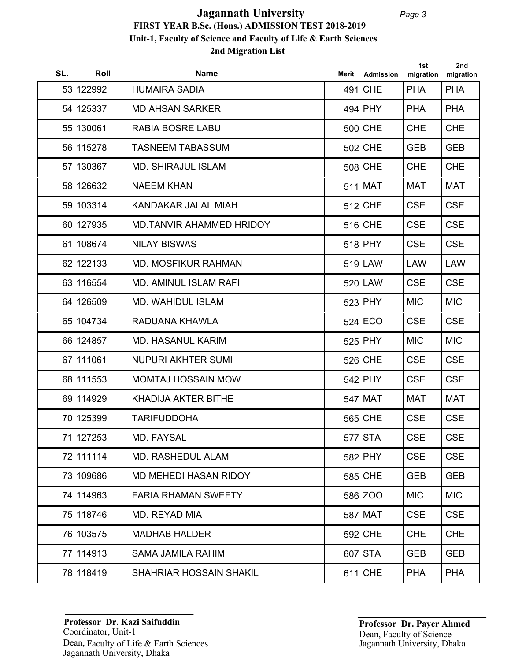## **2nd Migration List FIRST YEAR B.Sc. (Hons.) ADMISSION TEST 2018-2019 Unit-1, Faculty of Science and Faculty of Life & Earth Sciences Jagannath University**

| SL. | Roll      | <b>Name</b>                    | Merit | <b>Admission</b> | 1st<br>migration | 2nd<br>migration |
|-----|-----------|--------------------------------|-------|------------------|------------------|------------------|
|     | 53 122992 | <b>HUMAIRA SADIA</b>           |       | 491 CHE          | <b>PHA</b>       | <b>PHA</b>       |
|     | 54 125337 | <b>MD AHSAN SARKER</b>         |       | $494$ PHY        | <b>PHA</b>       | <b>PHA</b>       |
|     | 55 130061 | <b>RABIA BOSRE LABU</b>        |       | 500 CHE          | <b>CHE</b>       | <b>CHE</b>       |
|     | 56 115278 | <b>TASNEEM TABASSUM</b>        |       | 502 CHE          | <b>GEB</b>       | <b>GEB</b>       |
|     | 57 130367 | <b>MD. SHIRAJUL ISLAM</b>      |       | 508 CHE          | <b>CHE</b>       | <b>CHE</b>       |
|     | 58 126632 | <b>NAEEM KHAN</b>              |       | $511$ MAT        | <b>MAT</b>       | <b>MAT</b>       |
|     | 59 103314 | KANDAKAR JALAL MIAH            |       | 512 CHE          | <b>CSE</b>       | <b>CSE</b>       |
|     | 60 127935 | MD.TANVIR AHAMMED HRIDOY       |       | $516$ CHE        | <b>CSE</b>       | <b>CSE</b>       |
|     | 61 108674 | <b>NILAY BISWAS</b>            |       | 518 PHY          | <b>CSE</b>       | <b>CSE</b>       |
|     | 62 122133 | <b>MD. MOSFIKUR RAHMAN</b>     |       | $519$  LAW       | <b>LAW</b>       | <b>LAW</b>       |
|     | 63 116554 | <b>MD. AMINUL ISLAM RAFI</b>   |       | $520$  LAW       | <b>CSE</b>       | <b>CSE</b>       |
|     | 64 126509 | <b>MD. WAHIDUL ISLAM</b>       |       | 523 PHY          | <b>MIC</b>       | <b>MIC</b>       |
|     | 65 104734 | RADUANA KHAWLA                 |       | $524$ ECO        | <b>CSE</b>       | <b>CSE</b>       |
|     | 66 124857 | <b>MD. HASANUL KARIM</b>       |       | 525 PHY          | <b>MIC</b>       | <b>MIC</b>       |
|     | 67 111061 | <b>NUPURI AKHTER SUMI</b>      |       | $526$ CHE        | <b>CSE</b>       | <b>CSE</b>       |
|     | 68 111553 | <b>MOMTAJ HOSSAIN MOW</b>      |       | $542$ PHY        | <b>CSE</b>       | <b>CSE</b>       |
|     | 69 114929 | <b>KHADIJA AKTER BITHE</b>     |       | $547$ MAT        | <b>MAT</b>       | <b>MAT</b>       |
|     | 70 125399 | <b>TARIFUDDOHA</b>             |       | 565 CHE          | <b>CSE</b>       | <b>CSE</b>       |
|     | 71 127253 | <b>MD. FAYSAL</b>              |       | $577$ STA        | <b>CSE</b>       | <b>CSE</b>       |
|     | 72 111114 | MD. RASHEDUL ALAM              |       | 582 PHY          | <b>CSE</b>       | <b>CSE</b>       |
|     | 73 109686 | MD MEHEDI HASAN RIDOY          |       | 585 CHE          | <b>GEB</b>       | <b>GEB</b>       |
|     | 74 114963 | <b>FARIA RHAMAN SWEETY</b>     |       | 586 ZOO          | <b>MIC</b>       | MIC.             |
|     | 75 118746 | MD. REYAD MIA                  |       | 587 MAT          | <b>CSE</b>       | <b>CSE</b>       |
|     | 76 103575 | <b>MADHAB HALDER</b>           |       | 592 CHE          | <b>CHE</b>       | <b>CHE</b>       |
|     | 77 114913 | <b>SAMA JAMILA RAHIM</b>       |       | 607 STA          | <b>GEB</b>       | <b>GEB</b>       |
|     | 78 118419 | <b>SHAHRIAR HOSSAIN SHAKIL</b> |       | $611$ CHE        | <b>PHA</b>       | <b>PHA</b>       |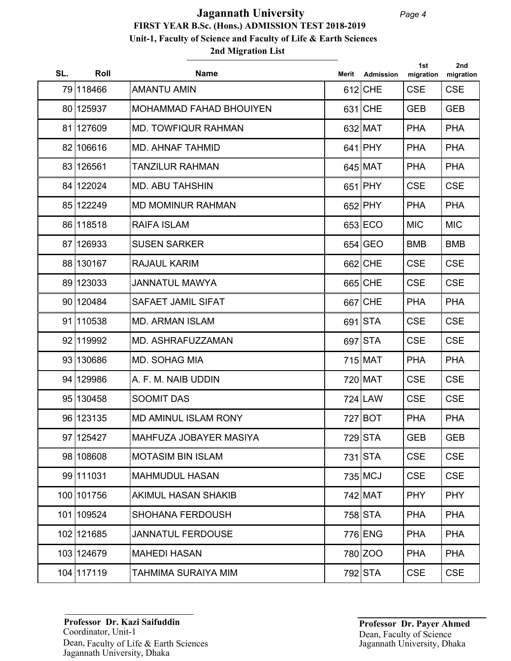## **2nd Migration List FIRST YEAR B.Sc. (Hons.) ADMISSION TEST 2018-2019 Unit-1, Faculty of Science and Faculty of Life & Earth Sciences Jagannath University**

| SL. | Roll       | <b>Name</b>                    | Merit | Admission | 1st<br>migration | 2nd<br>migration |
|-----|------------|--------------------------------|-------|-----------|------------------|------------------|
|     | 79 118466  | <b>AMANTU AMIN</b>             |       | 612 CHE   | <b>CSE</b>       | <b>CSE</b>       |
|     | 80 125937  | <b>MOHAMMAD FAHAD BHOUIYEN</b> |       | 631 CHE   | <b>GEB</b>       | <b>GEB</b>       |
|     | 81 127609  | <b>MD. TOWFIQUR RAHMAN</b>     |       | 632 MAT   | <b>PHA</b>       | <b>PHA</b>       |
|     | 82 106616  | <b>MD. AHNAF TAHMID</b>        |       | $641$ PHY | <b>PHA</b>       | <b>PHA</b>       |
|     | 83 126561  | <b>TANZILUR RAHMAN</b>         |       | 645 MAT   | <b>PHA</b>       | <b>PHA</b>       |
|     | 84 122024  | <b>MD. ABU TAHSHIN</b>         |       | $651$ PHY | <b>CSE</b>       | <b>CSE</b>       |
|     | 85 122249  | <b>MD MOMINUR RAHMAN</b>       |       | 652 PHY   | <b>PHA</b>       | <b>PHA</b>       |
|     | 86 118518  | <b>RAIFA ISLAM</b>             |       | 653 ECO   | <b>MIC</b>       | <b>MIC</b>       |
|     | 87 126933  | <b>SUSEN SARKER</b>            |       | $654$ GEO | <b>BMB</b>       | <b>BMB</b>       |
|     | 88 130167  | <b>RAJAUL KARIM</b>            |       | 662 CHE   | <b>CSE</b>       | <b>CSE</b>       |
|     | 89 123033  | JANNATUL MAWYA                 |       | 665 CHE   | <b>CSE</b>       | <b>CSE</b>       |
|     | 90 120484  | SAFAET JAMIL SIFAT             |       | 667 CHE   | <b>PHA</b>       | <b>PHA</b>       |
|     | 91 110538  | <b>MD. ARMAN ISLAM</b>         |       | 691 STA   | <b>CSE</b>       | <b>CSE</b>       |
|     | 92 119992  | MD. ASHRAFUZZAMAN              |       | 697 STA   | <b>CSE</b>       | <b>CSE</b>       |
|     | 93 130686  | <b>MD. SOHAG MIA</b>           |       | 715 MAT   | <b>PHA</b>       | <b>PHA</b>       |
|     | 94 129986  | A. F. M. NAIB UDDIN            |       | 720 MAT   | <b>CSE</b>       | <b>CSE</b>       |
|     | 95 130458  | <b>SOOMIT DAS</b>              |       | $724$ LAW | <b>CSE</b>       | <b>CSE</b>       |
|     | 96 123135  | <b>MD AMINUL ISLAM RONY</b>    |       | 727 BOT   | <b>PHA</b>       | <b>PHA</b>       |
|     | 97 125427  | MAHFUZA JOBAYER MASIYA         |       | 729 STA   | <b>GEB</b>       | <b>GEB</b>       |
|     | 98 108608  | <b>MOTASIM BIN ISLAM</b>       |       | 731 STA   | <b>CSE</b>       | <b>CSE</b>       |
|     | 99 111031  | <b>MAHMUDUL HASAN</b>          |       | 735 MCJ   | <b>CSE</b>       | <b>CSE</b>       |
|     | 100 101756 | <b>AKIMUL HASAN SHAKIB</b>     |       | 742 MAT   | <b>PHY</b>       | <b>PHY</b>       |
|     | 101 109524 | <b>SHOHANA FERDOUSH</b>        |       | 758 STA   | <b>PHA</b>       | <b>PHA</b>       |
|     | 102 121685 | <b>JANNATUL FERDOUSE</b>       |       | 776 ENG   | <b>PHA</b>       | <b>PHA</b>       |
|     | 103 124679 | <b>MAHEDI HASAN</b>            |       | 780 ZOO   | <b>PHA</b>       | <b>PHA</b>       |
|     | 104 117119 | TAHMIMA SURAIYA MIM            |       | 792 STA   | <b>CSE</b>       | <b>CSE</b>       |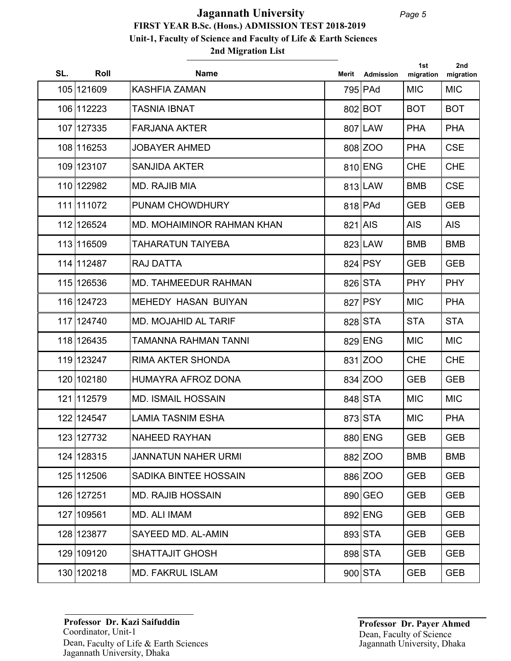## **2nd Migration List FIRST YEAR B.Sc. (Hons.) ADMISSION TEST 2018-2019 Unit-1, Faculty of Science and Faculty of Life & Earth Sciences Jagannath University**

| SL. | Roll       | <b>Name</b>                 | Merit   | Admission | 1st<br>migration | 2nd<br>migration |
|-----|------------|-----------------------------|---------|-----------|------------------|------------------|
|     | 105 121609 | <b>KASHFIA ZAMAN</b>        |         | 795 PAd   | <b>MIC</b>       | <b>MIC</b>       |
|     | 106 112223 | <b>TASNIA IBNAT</b>         |         | 802 BOT   | <b>BOT</b>       | <b>BOT</b>       |
|     | 107 127335 | <b>FARJANA AKTER</b>        |         | 807 LAW   | <b>PHA</b>       | <b>PHA</b>       |
|     | 108 116253 | <b>JOBAYER AHMED</b>        |         | 808 ZOO   | <b>PHA</b>       | <b>CSE</b>       |
|     | 109 123107 | <b>SANJIDA AKTER</b>        |         | 810 ENG   | <b>CHE</b>       | <b>CHE</b>       |
|     | 110 122982 | MD. RAJIB MIA               |         | 813 LAW   | <b>BMB</b>       | <b>CSE</b>       |
|     | 111 111072 | PUNAM CHOWDHURY             |         | 818 PAd   | <b>GEB</b>       | <b>GEB</b>       |
|     | 112 126524 | MD. MOHAIMINOR RAHMAN KHAN  | 821 AIS |           | <b>AIS</b>       | <b>AIS</b>       |
|     | 113 116509 | <b>TAHARATUN TAIYEBA</b>    |         | 823 LAW   | <b>BMB</b>       | <b>BMB</b>       |
|     | 114 112487 | <b>RAJ DATTA</b>            |         | 824 PSY   | <b>GEB</b>       | <b>GEB</b>       |
|     | 115 126536 | <b>MD. TAHMEEDUR RAHMAN</b> |         | 826 STA   | <b>PHY</b>       | <b>PHY</b>       |
|     | 116 124723 | <b>MEHEDY HASAN BUIYAN</b>  |         | 827 PSY   | <b>MIC</b>       | <b>PHA</b>       |
|     | 117 124740 | <b>MD. MOJAHID AL TARIF</b> |         | 828 STA   | <b>STA</b>       | <b>STA</b>       |
|     | 118 126435 | TAMANNA RAHMAN TANNI        |         | 829 ENG   | <b>MIC</b>       | <b>MIC</b>       |
|     | 119 123247 | <b>RIMA AKTER SHONDA</b>    |         | 831 ZOO   | <b>CHE</b>       | <b>CHE</b>       |
|     | 120 102180 | HUMAYRA AFROZ DONA          |         | 834 ZOO   | <b>GEB</b>       | <b>GEB</b>       |
|     | 121 112579 | <b>MD. ISMAIL HOSSAIN</b>   |         | 848 STA   | <b>MIC</b>       | <b>MIC</b>       |
|     | 122 124547 | <b>LAMIA TASNIM ESHA</b>    |         | 873 STA   | <b>MIC</b>       | <b>PHA</b>       |
|     | 123 127732 | NAHEED RAYHAN               |         | 880 ENG   | <b>GEB</b>       | <b>GEB</b>       |
|     | 124 128315 | <b>JANNATUN NAHER URMI</b>  |         | 882 ZOO   | <b>BMB</b>       | <b>BMB</b>       |
|     | 125 112506 | SADIKA BINTEE HOSSAIN       |         | 886 ZOO   | <b>GEB</b>       | <b>GEB</b>       |
|     | 126 127251 | <b>MD. RAJIB HOSSAIN</b>    |         | 890 GEO   | <b>GEB</b>       | <b>GEB</b>       |
|     | 127 109561 | MD. ALI IMAM                |         | 892 ENG   | <b>GEB</b>       | <b>GEB</b>       |
|     | 128 123877 | SAYEED MD. AL-AMIN          |         | 893 STA   | <b>GEB</b>       | <b>GEB</b>       |
|     | 129 109120 | <b>SHATTAJIT GHOSH</b>      |         | 898 STA   | <b>GEB</b>       | <b>GEB</b>       |
|     | 130 120218 | <b>MD. FAKRUL ISLAM</b>     |         | $900$ STA | <b>GEB</b>       | <b>GEB</b>       |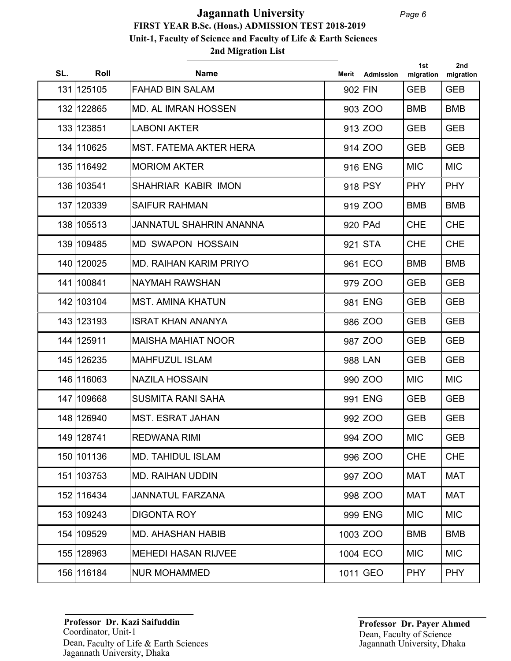## **2nd Migration List FIRST YEAR B.Sc. (Hons.) ADMISSION TEST 2018-2019 Unit-1, Faculty of Science and Faculty of Life & Earth Sciences Jagannath University**

| SL. | Roll       | <b>Name</b>                   | Merit | <b>Admission</b> | 1st<br>migration | 2nd<br>migration |
|-----|------------|-------------------------------|-------|------------------|------------------|------------------|
|     | 131 125105 | <b>FAHAD BIN SALAM</b>        |       | 902 FIN          | <b>GEB</b>       | <b>GEB</b>       |
|     | 132 122865 | <b>MD. AL IMRAN HOSSEN</b>    |       | 903 ZOO          | <b>BMB</b>       | <b>BMB</b>       |
|     | 133 123851 | <b>LABONI AKTER</b>           |       | 913 ZOO          | <b>GEB</b>       | <b>GEB</b>       |
|     | 134 110625 | <b>MST. FATEMA AKTER HERA</b> |       | 914 ZOO          | <b>GEB</b>       | <b>GEB</b>       |
|     | 135 116492 | <b>MORIOM AKTER</b>           |       | 916 ENG          | <b>MIC</b>       | <b>MIC</b>       |
|     | 136 103541 | SHAHRIAR KABIR IMON           |       | 918 PSY          | <b>PHY</b>       | <b>PHY</b>       |
|     | 137 120339 | <b>SAIFUR RAHMAN</b>          |       | 919 ZOO          | <b>BMB</b>       | <b>BMB</b>       |
|     | 138 105513 | JANNATUL SHAHRIN ANANNA       |       | $920$ PAd        | <b>CHE</b>       | <b>CHE</b>       |
|     | 139 109485 | <b>MD SWAPON HOSSAIN</b>      |       | $921$ STA        | <b>CHE</b>       | <b>CHE</b>       |
|     | 140 120025 | <b>MD. RAIHAN KARIM PRIYO</b> |       | 961 ECO          | <b>BMB</b>       | <b>BMB</b>       |
|     | 141 100841 | <b>NAYMAH RAWSHAN</b>         |       | 979 ZOO          | <b>GEB</b>       | <b>GEB</b>       |
|     | 142 103104 | <b>MST. AMINA KHATUN</b>      |       | 981 ENG          | <b>GEB</b>       | <b>GEB</b>       |
|     | 143 123193 | <b>ISRAT KHAN ANANYA</b>      |       | 986 ZOO          | <b>GEB</b>       | <b>GEB</b>       |
|     | 144 125911 | <b>MAISHA MAHIAT NOOR</b>     |       | 987 ZOO          | <b>GEB</b>       | <b>GEB</b>       |
|     | 145 126235 | <b>MAHFUZUL ISLAM</b>         |       | 988 LAN          | <b>GEB</b>       | <b>GEB</b>       |
|     | 146 116063 | <b>NAZILA HOSSAIN</b>         |       | 990 ZOO          | <b>MIC</b>       | <b>MIC</b>       |
|     | 147 109668 | <b>SUSMITA RANI SAHA</b>      |       | 991 ENG          | <b>GEB</b>       | <b>GEB</b>       |
|     | 148 126940 | <b>MST. ESRAT JAHAN</b>       |       | 992 ZOO          | <b>GEB</b>       | <b>GEB</b>       |
|     | 149 128741 | <b>REDWANA RIMI</b>           |       | 994 ZOO          | <b>MIC</b>       | <b>GEB</b>       |
|     | 150 101136 | <b>MD. TAHIDUL ISLAM</b>      |       | 996 ZOO          | <b>CHE</b>       | <b>CHE</b>       |
|     | 151 103753 | <b>MD. RAIHAN UDDIN</b>       |       | 997 ZOO          | <b>MAT</b>       | <b>MAT</b>       |
|     | 152 116434 | <b>JANNATUL FARZANA</b>       |       | 998 ZOO          | <b>MAT</b>       | MAT              |
|     | 153 109243 | <b>DIGONTA ROY</b>            |       | 999 ENG          | <b>MIC</b>       | <b>MIC</b>       |
|     | 154 109529 | <b>MD. AHASHAN HABIB</b>      |       | 1003 ZOO         | <b>BMB</b>       | <b>BMB</b>       |
|     | 155 128963 | <b>MEHEDI HASAN RIJVEE</b>    |       | $1004$ ECO       | <b>MIC</b>       | <b>MIC</b>       |
|     | 156 116184 | <b>NUR MOHAMMED</b>           |       | $1011$ GEO       | <b>PHY</b>       | <b>PHY</b>       |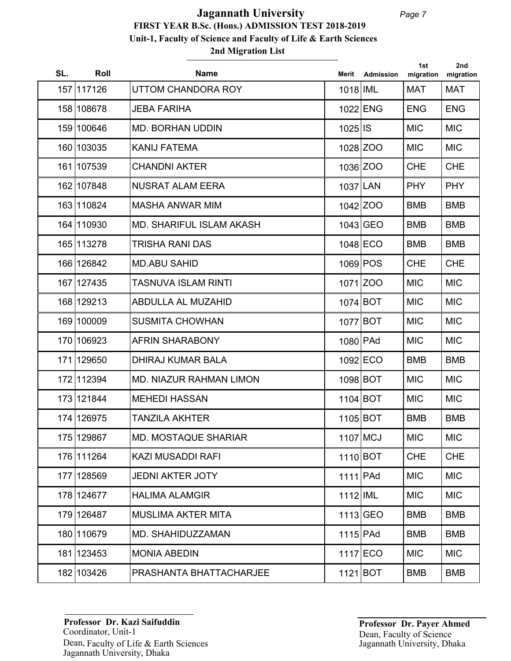## **2nd Migration List FIRST YEAR B.Sc. (Hons.) ADMISSION TEST 2018-2019 Unit-1, Faculty of Science and Faculty of Life & Earth Sciences Jagannath University**

| SL. | Roll       | <b>Name</b>                    | Merit      | <b>Admission</b> | 1st<br>migration | 2nd<br>migration |
|-----|------------|--------------------------------|------------|------------------|------------------|------------------|
|     | 157 117126 | UTTOM CHANDORA ROY             | 1018   IML |                  | <b>MAT</b>       | MAT              |
|     | 158 108678 | <b>JEBA FARIHA</b>             |            | 1022 ENG         | <b>ENG</b>       | <b>ENG</b>       |
|     | 159 100646 | <b>MD. BORHAN UDDIN</b>        | 1025 IS    |                  | <b>MIC</b>       | <b>MIC</b>       |
|     | 160 103035 | <b>KANIJ FATEMA</b>            |            | 1028 ZOO         | <b>MIC</b>       | <b>MIC</b>       |
|     | 161 107539 | <b>CHANDNI AKTER</b>           |            | 1036 ZOO         | <b>CHE</b>       | <b>CHE</b>       |
|     | 162 107848 | <b>NUSRAT ALAM EERA</b>        | 1037 LAN   |                  | <b>PHY</b>       | <b>PHY</b>       |
|     | 163 110824 | <b>MASHA ANWAR MIM</b>         |            | 1042 ZOO         | <b>BMB</b>       | <b>BMB</b>       |
|     | 164 110930 | MD. SHARIFUL ISLAM AKASH       |            | 1043 GEO         | <b>BMB</b>       | <b>BMB</b>       |
|     | 165 113278 | <b>TRISHA RANI DAS</b>         |            | 1048 ECO         | <b>BMB</b>       | <b>BMB</b>       |
|     | 166 126842 | <b>MD.ABU SAHID</b>            |            | 1069 POS         | <b>CHE</b>       | <b>CHE</b>       |
|     | 167 127435 | <b>TASNUVA ISLAM RINTI</b>     |            | 1071 ZOO         | <b>MIC</b>       | <b>MIC</b>       |
|     | 168 129213 | <b>ABDULLA AL MUZAHID</b>      | 1074 BOT   |                  | <b>MIC</b>       | <b>MIC</b>       |
|     | 169 100009 | <b>SUSMITA CHOWHAN</b>         | 1077 BOT   |                  | <b>MIC</b>       | <b>MIC</b>       |
|     | 170 106923 | <b>AFRIN SHARABONY</b>         | 1080 PAd   |                  | <b>MIC</b>       | <b>MIC</b>       |
|     | 171 129650 | <b>DHIRAJ KUMAR BALA</b>       |            | 1092 ECO         | <b>BMB</b>       | <b>BMB</b>       |
|     | 172 112394 | <b>MD. NIAZUR RAHMAN LIMON</b> | 1098 BOT   |                  | <b>MIC</b>       | <b>MIC</b>       |
|     | 173 121844 | <b>MEHEDI HASSAN</b>           | $1104$ BOT |                  | <b>MIC</b>       | <b>MIC</b>       |
|     | 174 126975 | <b>TANZILA AKHTER</b>          | 1105 BOT   |                  | <b>BMB</b>       | <b>BMB</b>       |
|     | 175 129867 | <b>MD. MOSTAQUE SHARIAR</b>    | 1107 MCJ   |                  | <b>MIC</b>       | <b>MIC</b>       |
|     | 176 111264 | <b>KAZI MUSADDI RAFI</b>       | 1110 BOT   |                  | <b>CHE</b>       | <b>CHE</b>       |
|     | 177 128569 | <b>JEDNI AKTER JOTY</b>        | $1111$ PAd |                  | <b>MIC</b>       | <b>MIC</b>       |
|     | 178 124677 | <b>HALIMA ALAMGIR</b>          | 1112 IML   |                  | <b>MIC</b>       | <b>MIC</b>       |
|     | 179 126487 | <b>MUSLIMA AKTER MITA</b>      |            | $1113$ GEO       | <b>BMB</b>       | <b>BMB</b>       |
|     | 180 110679 | MD. SHAHIDUZZAMAN              | $1115$ PAd |                  | <b>BMB</b>       | <b>BMB</b>       |
|     | 181 123453 | <b>MONIA ABEDIN</b>            |            | 1117 ECO         | <b>MIC</b>       | <b>MIC</b>       |
|     | 182 103426 | PRASHANTA BHATTACHARJEE        | 1121 BOT   |                  | <b>BMB</b>       | <b>BMB</b>       |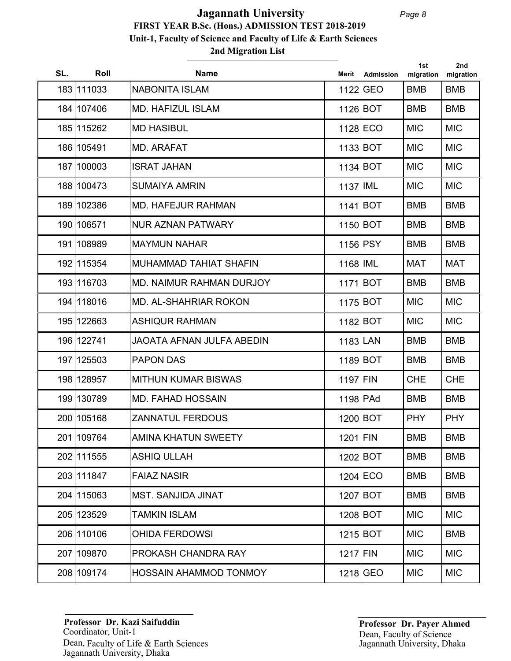## **2nd Migration List FIRST YEAR B.Sc. (Hons.) ADMISSION TEST 2018-2019 Unit-1, Faculty of Science and Faculty of Life & Earth Sciences Jagannath University**

| SL. | Roll       | <b>Name</b>                      | Merit      | Admission | 1st<br>migration | 2nd<br>migration |
|-----|------------|----------------------------------|------------|-----------|------------------|------------------|
|     | 183 111033 | <b>NABONITA ISLAM</b>            |            | 1122 GEO  | <b>BMB</b>       | <b>BMB</b>       |
|     | 184 107406 | <b>MD. HAFIZUL ISLAM</b>         | 1126 BOT   |           | <b>BMB</b>       | <b>BMB</b>       |
|     | 185 115262 | <b>MD HASIBUL</b>                |            | 1128 ECO  | <b>MIC</b>       | <b>MIC</b>       |
|     | 186 105491 | <b>MD. ARAFAT</b>                | 1133 BOT   |           | <b>MIC</b>       | <b>MIC</b>       |
|     | 187 100003 | <b>ISRAT JAHAN</b>               | 1134 BOT   |           | <b>MIC</b>       | <b>MIC</b>       |
|     | 188 100473 | <b>SUMAIYA AMRIN</b>             | 1137 IML   |           | <b>MIC</b>       | <b>MIC</b>       |
|     | 189 102386 | <b>MD. HAFEJUR RAHMAN</b>        | $1141$ BOT |           | <b>BMB</b>       | <b>BMB</b>       |
|     | 190 106571 | <b>NUR AZNAN PATWARY</b>         | 1150 BOT   |           | <b>BMB</b>       | <b>BMB</b>       |
|     | 191 108989 | <b>MAYMUN NAHAR</b>              | 1156 PSY   |           | <b>BMB</b>       | <b>BMB</b>       |
|     | 192 115354 | <b>MUHAMMAD TAHIAT SHAFIN</b>    | 1168 IML   |           | <b>MAT</b>       | <b>MAT</b>       |
|     | 193 116703 | MD. NAIMUR RAHMAN DURJOY         | 1171 BOT   |           | <b>BMB</b>       | <b>BMB</b>       |
|     | 194 118016 | <b>MD. AL-SHAHRIAR ROKON</b>     | 1175 BOT   |           | <b>MIC</b>       | <b>MIC</b>       |
|     | 195 122663 | <b>ASHIQUR RAHMAN</b>            | 1182 BOT   |           | <b>MIC</b>       | <b>MIC</b>       |
|     | 196 122741 | <b>JAOATA AFNAN JULFA ABEDIN</b> | 1183 LAN   |           | <b>BMB</b>       | <b>BMB</b>       |
|     | 197 125503 | <b>PAPON DAS</b>                 | $1189$ BOT |           | <b>BMB</b>       | <b>BMB</b>       |
|     | 198 128957 | <b>MITHUN KUMAR BISWAS</b>       | 1197 FIN   |           | <b>CHE</b>       | <b>CHE</b>       |
|     | 199 130789 | <b>MD. FAHAD HOSSAIN</b>         | 1198 PAd   |           | <b>BMB</b>       | <b>BMB</b>       |
|     | 200 105168 | <b>ZANNATUL FERDOUS</b>          | 1200 BOT   |           | <b>PHY</b>       | <b>PHY</b>       |
|     | 201 109764 | AMINA KHATUN SWEETY              | 1201 FIN   |           | <b>BMB</b>       | <b>BMB</b>       |
|     | 202 111555 | <b>ASHIQ ULLAH</b>               |            | 1202 BOT  | <b>BMB</b>       | <b>BMB</b>       |
|     | 203 111847 | <b>FAIAZ NASIR</b>               |            | 1204 ECO  | <b>BMB</b>       | <b>BMB</b>       |
|     | 204 115063 | <b>MST. SANJIDA JINAT</b>        |            | 1207 BOT  | <b>BMB</b>       | <b>BMB</b>       |
|     | 205 123529 | <b>TAMKIN ISLAM</b>              |            | 1208 BOT  | <b>MIC</b>       | <b>MIC</b>       |
|     | 206 110106 | <b>OHIDA FERDOWSI</b>            |            | 1215 BOT  | <b>MIC</b>       | <b>BMB</b>       |
|     | 207 109870 | PROKASH CHANDRA RAY              | $1217$ FIN |           | <b>MIC</b>       | <b>MIC</b>       |
|     | 208 109174 | HOSSAIN AHAMMOD TONMOY           |            | 1218 GEO  | <b>MIC</b>       | <b>MIC</b>       |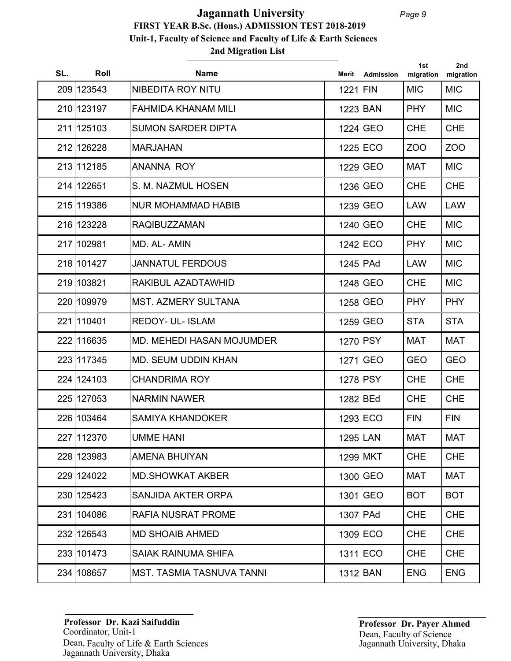## **2nd Migration List FIRST YEAR B.Sc. (Hons.) ADMISSION TEST 2018-2019 Unit-1, Faculty of Science and Faculty of Life & Earth Sciences Jagannath University**

| SL. | Roll       | <b>Name</b>                      | Merit      | Admission  | 1st<br>migration | 2nd<br>migration |
|-----|------------|----------------------------------|------------|------------|------------------|------------------|
|     | 209 123543 | NIBEDITA ROY NITU                | 1221 FIN   |            | <b>MIC</b>       | <b>MIC</b>       |
|     | 210 123197 | <b>FAHMIDA KHANAM MILI</b>       | 1223 BAN   |            | <b>PHY</b>       | <b>MIC</b>       |
|     | 211 125103 | <b>SUMON SARDER DIPTA</b>        |            | 1224 GEO   | <b>CHE</b>       | <b>CHE</b>       |
|     | 212 126228 | <b>MARJAHAN</b>                  |            | 1225 ECO   | ZOO              | ZOO              |
|     | 213 112185 | <b>ANANNA ROY</b>                |            | 1229 GEO   | <b>MAT</b>       | <b>MIC</b>       |
|     | 214 122651 | S. M. NAZMUL HOSEN               |            | 1236 GEO   | <b>CHE</b>       | <b>CHE</b>       |
|     | 215 119386 | <b>NUR MOHAMMAD HABIB</b>        |            | 1239 GEO   | <b>LAW</b>       | <b>LAW</b>       |
|     | 216 123228 | <b>RAQIBUZZAMAN</b>              |            | 1240 GEO   | <b>CHE</b>       | <b>MIC</b>       |
|     | 217 102981 | MD. AL-AMIN                      |            | $1242$ ECO | <b>PHY</b>       | <b>MIC</b>       |
|     | 218 101427 | <b>JANNATUL FERDOUS</b>          | 1245 PAd   |            | <b>LAW</b>       | <b>MIC</b>       |
|     | 219 103821 | RAKIBUL AZADTAWHID               |            | 1248 GEO   | <b>CHE</b>       | <b>MIC</b>       |
|     | 220 109979 | <b>MST. AZMERY SULTANA</b>       |            | 1258 GEO   | <b>PHY</b>       | <b>PHY</b>       |
|     | 221 110401 | <b>REDOY- UL- ISLAM</b>          |            | 1259 GEO   | <b>STA</b>       | <b>STA</b>       |
|     | 222 116635 | MD. MEHEDI HASAN MOJUMDER        | 1270 PSY   |            | <b>MAT</b>       | <b>MAT</b>       |
|     | 223 117345 | <b>MD. SEUM UDDIN KHAN</b>       |            | 1271 GEO   | <b>GEO</b>       | <b>GEO</b>       |
|     | 224 124103 | <b>CHANDRIMA ROY</b>             | 1278 PSY   |            | <b>CHE</b>       | <b>CHE</b>       |
|     | 225 127053 | <b>NARMIN NAWER</b>              | 1282 BEd   |            | <b>CHE</b>       | <b>CHE</b>       |
|     | 226 103464 | <b>SAMIYA KHANDOKER</b>          |            | 1293 ECO   | <b>FIN</b>       | <b>FIN</b>       |
|     | 227 112370 | <b>UMME HANI</b>                 | 1295 LAN   |            | <b>MAT</b>       | <b>MAT</b>       |
|     | 228 123983 | <b>AMENA BHUIYAN</b>             |            | 1299 MKT   | <b>CHE</b>       | <b>CHE</b>       |
|     | 229 124022 | <b>MD.SHOWKAT AKBER</b>          |            | 1300 GEO   | <b>MAT</b>       | <b>MAT</b>       |
|     | 230 125423 | SANJIDA AKTER ORPA               |            | 1301 GEO   | <b>BOT</b>       | <b>BOT</b>       |
|     | 231 104086 | <b>RAFIA NUSRAT PROME</b>        | $1307$ PAd |            | <b>CHE</b>       | <b>CHE</b>       |
|     | 232 126543 | <b>MD SHOAIB AHMED</b>           |            | $1309$ ECO | <b>CHE</b>       | <b>CHE</b>       |
|     | 233 101473 | <b>SAIAK RAINUMA SHIFA</b>       |            | $1311$ ECO | <b>CHE</b>       | <b>CHE</b>       |
|     | 234 108657 | <b>MST. TASMIA TASNUVA TANNI</b> |            | $1312$ BAN | <b>ENG</b>       | <b>ENG</b>       |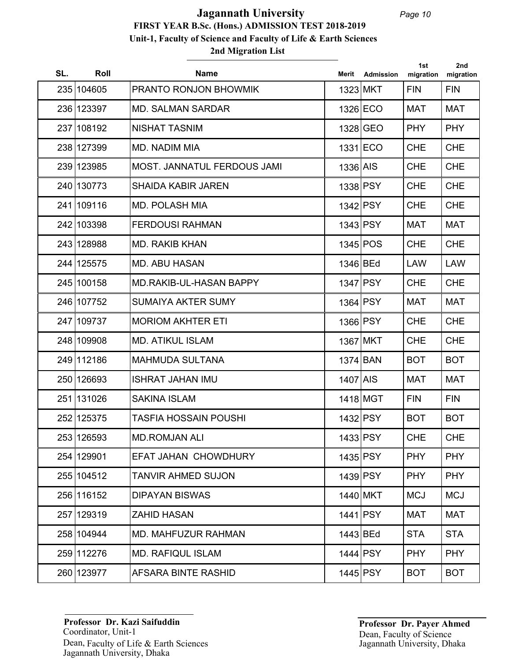| SL. | Roll       | <b>Name</b>                        | Merit    | <b>Admission</b> | 1st<br>migration | 2nd<br>migration |
|-----|------------|------------------------------------|----------|------------------|------------------|------------------|
|     | 235 104605 | PRANTO RONJON BHOWMIK              | 1323 MKT |                  | <b>FIN</b>       | <b>FIN</b>       |
|     | 236 123397 | <b>MD. SALMAN SARDAR</b>           |          | 1326 ECO         | <b>MAT</b>       | <b>MAT</b>       |
|     | 237 108192 | <b>NISHAT TASNIM</b>               |          | 1328 GEO         | <b>PHY</b>       | <b>PHY</b>       |
|     | 238 127399 | <b>MD. NADIM MIA</b>               |          | 1331 ECO         | <b>CHE</b>       | <b>CHE</b>       |
|     | 239 123985 | <b>MOST. JANNATUL FERDOUS JAMI</b> | 1336 AIS |                  | <b>CHE</b>       | <b>CHE</b>       |
|     | 240 130773 | <b>SHAIDA KABIR JAREN</b>          | 1338 PSY |                  | <b>CHE</b>       | <b>CHE</b>       |
|     | 241 109116 | <b>MD. POLASH MIA</b>              | 1342 PSY |                  | <b>CHE</b>       | <b>CHE</b>       |
|     | 242 103398 | <b>FERDOUSI RAHMAN</b>             | 1343 PSY |                  | <b>MAT</b>       | <b>MAT</b>       |
|     | 243 128988 | <b>MD. RAKIB KHAN</b>              |          | 1345 POS         | <b>CHE</b>       | <b>CHE</b>       |
|     | 244 125575 | <b>MD. ABU HASAN</b>               | 1346 BEd |                  | <b>LAW</b>       | <b>LAW</b>       |
|     | 245 100158 | <b>MD.RAKIB-UL-HASAN BAPPY</b>     | 1347 PSY |                  | <b>CHE</b>       | <b>CHE</b>       |
|     | 246 107752 | <b>SUMAIYA AKTER SUMY</b>          | 1364 PSY |                  | <b>MAT</b>       | <b>MAT</b>       |
|     | 247 109737 | <b>MORIOM AKHTER ETI</b>           | 1366 PSY |                  | <b>CHE</b>       | <b>CHE</b>       |
|     | 248 109908 | <b>MD. ATIKUL ISLAM</b>            |          | 1367 MKT         | <b>CHE</b>       | <b>CHE</b>       |
|     | 249 112186 | <b>MAHMUDA SULTANA</b>             | 1374 BAN |                  | <b>BOT</b>       | <b>BOT</b>       |
|     | 250 126693 | <b>ISHRAT JAHAN IMU</b>            | 1407 AIS |                  | <b>MAT</b>       | <b>MAT</b>       |
|     | 251 131026 | <b>SAKINA ISLAM</b>                |          | 1418 MGT         | <b>FIN</b>       | <b>FIN</b>       |
|     | 252 125375 | <b>TASFIA HOSSAIN POUSHI</b>       | 1432 PSY |                  | <b>BOT</b>       | <b>BOT</b>       |
|     | 253 126593 | <b>MD.ROMJAN ALI</b>               |          | 1433 PSY         | <b>CHE</b>       | <b>CHE</b>       |
|     | 254 129901 | <b>EFAT JAHAN CHOWDHURY</b>        | 1435 PSY |                  | <b>PHY</b>       | <b>PHY</b>       |
|     | 255 104512 | <b>TANVIR AHMED SUJON</b>          |          | 1439 PSY         | <b>PHY</b>       | <b>PHY</b>       |
|     | 256 116152 | <b>DIPAYAN BISWAS</b>              |          | 1440 MKT         | <b>MCJ</b>       | <b>MCJ</b>       |
|     | 257 129319 | <b>ZAHID HASAN</b>                 |          | 1441 PSY         | MAT              | MAT              |
|     | 258 104944 | <b>MD. MAHFUZUR RAHMAN</b>         | 1443 BEd |                  | <b>STA</b>       | <b>STA</b>       |
|     | 259 112276 | <b>MD. RAFIQUL ISLAM</b>           | 1444 PSY |                  | <b>PHY</b>       | <b>PHY</b>       |
|     | 260 123977 | AFSARA BINTE RASHID                |          | 1445 PSY         | <b>BOT</b>       | <b>BOT</b>       |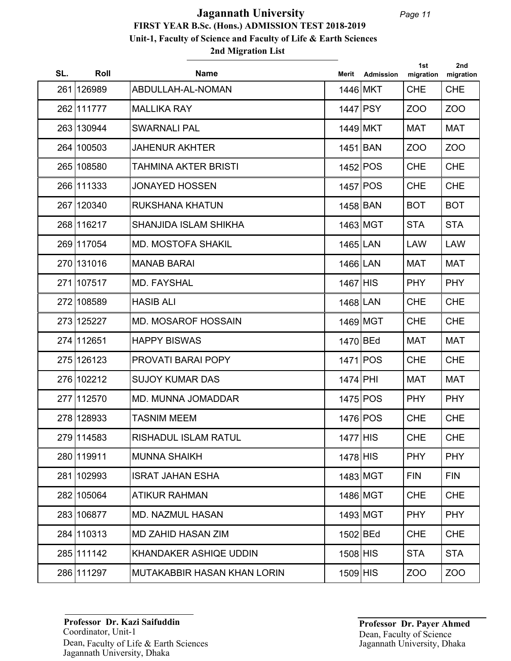| SL. | Roll       | <b>Name</b>                        | Merit      | <b>Admission</b> | 1st<br>migration | 2nd<br>migration |
|-----|------------|------------------------------------|------------|------------------|------------------|------------------|
|     | 261 126989 | ABDULLAH-AL-NOMAN                  | 1446 MKT   |                  | <b>CHE</b>       | <b>CHE</b>       |
|     | 262 111777 | <b>MALLIKA RAY</b>                 | 1447 PSY   |                  | ZOO              | ZOO              |
|     | 263 130944 | <b>SWARNALI PAL</b>                |            | 1449 MKT         | <b>MAT</b>       | <b>MAT</b>       |
|     | 264 100503 | <b>JAHENUR AKHTER</b>              | 1451 BAN   |                  | ZO <sub>O</sub>  | ZOO              |
|     | 265 108580 | <b>TAHMINA AKTER BRISTI</b>        |            | 1452 POS         | <b>CHE</b>       | <b>CHE</b>       |
|     | 266 111333 | <b>JONAYED HOSSEN</b>              |            | 1457 POS         | <b>CHE</b>       | <b>CHE</b>       |
|     | 267 120340 | <b>RUKSHANA KHATUN</b>             | 1458 BAN   |                  | <b>BOT</b>       | <b>BOT</b>       |
|     | 268 116217 | SHANJIDA ISLAM SHIKHA              |            | 1463 MGT         | <b>STA</b>       | <b>STA</b>       |
|     | 269 117054 | MD. MOSTOFA SHAKIL                 | 1465 LAN   |                  | <b>LAW</b>       | <b>LAW</b>       |
|     | 270 131016 | <b>MANAB BARAI</b>                 | 1466 LAN   |                  | <b>MAT</b>       | <b>MAT</b>       |
|     | 271 107517 | <b>MD. FAYSHAL</b>                 | 1467 HIS   |                  | <b>PHY</b>       | <b>PHY</b>       |
|     | 272 108589 | <b>HASIB ALI</b>                   | 1468 LAN   |                  | <b>CHE</b>       | <b>CHE</b>       |
|     | 273 125227 | <b>MD. MOSAROF HOSSAIN</b>         |            | 1469 MGT         | <b>CHE</b>       | <b>CHE</b>       |
|     | 274 112651 | <b>HAPPY BISWAS</b>                | 1470 BEd   |                  | <b>MAT</b>       | <b>MAT</b>       |
|     | 275 126123 | PROVATI BARAI POPY                 |            | 1471 POS         | <b>CHE</b>       | <b>CHE</b>       |
|     | 276 102212 | <b>SUJOY KUMAR DAS</b>             | 1474 PHI   |                  | <b>MAT</b>       | <b>MAT</b>       |
|     | 277 112570 | <b>MD. MUNNA JOMADDAR</b>          |            | 1475 POS         | <b>PHY</b>       | <b>PHY</b>       |
|     | 278 128933 | <b>TASNIM MEEM</b>                 |            | 1476 POS         | <b>CHE</b>       | <b>CHE</b>       |
|     | 279 114583 | RISHADUL ISLAM RATUL               | 1477 HIS   |                  | <b>CHE</b>       | <b>CHE</b>       |
|     | 280 119911 | <b>MUNNA SHAIKH</b>                | $1478$ HIS |                  | <b>PHY</b>       | <b>PHY</b>       |
|     | 281 102993 | <b>ISRAT JAHAN ESHA</b>            |            | 1483 MGT         | <b>FIN</b>       | <b>FIN</b>       |
|     | 282 105064 | <b>ATIKUR RAHMAN</b>               |            | 1486 MGT         | <b>CHE</b>       | <b>CHE</b>       |
|     | 283 106877 | <b>MD. NAZMUL HASAN</b>            |            | 1493 MGT         | <b>PHY</b>       | <b>PHY</b>       |
|     | 284 110313 | <b>MD ZAHID HASAN ZIM</b>          | 1502 BEd   |                  | <b>CHE</b>       | <b>CHE</b>       |
|     | 285 111142 | KHANDAKER ASHIQE UDDIN             | $1508$ HIS |                  | <b>STA</b>       | <b>STA</b>       |
|     | 286 111297 | <b>MUTAKABBIR HASAN KHAN LORIN</b> | 1509 HIS   |                  | ZOO              | ZOO              |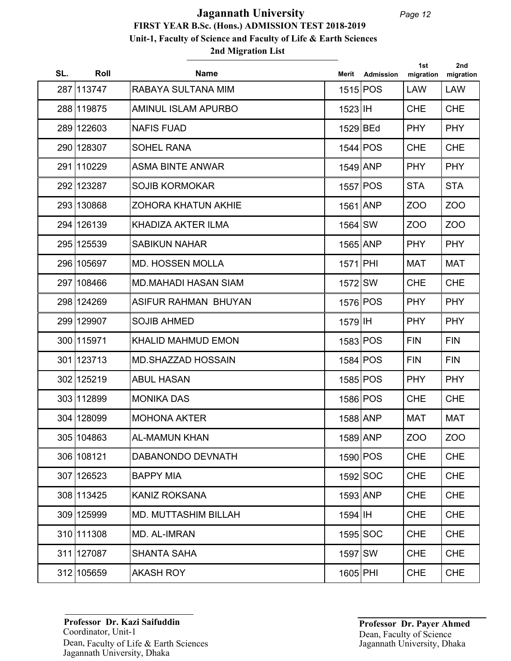## **2nd Migration List FIRST YEAR B.Sc. (Hons.) ADMISSION TEST 2018-2019 Unit-1, Faculty of Science and Faculty of Life & Earth Sciences Jagannath University**

| SL. | Roll       | <b>Name</b>                 | Merit      | <b>Admission</b> | 1st<br>migration | 2nd<br>migration |
|-----|------------|-----------------------------|------------|------------------|------------------|------------------|
|     | 287 113747 | RABAYA SULTANA MIM          |            | 1515 POS         | <b>LAW</b>       | <b>LAW</b>       |
|     | 288 119875 | <b>AMINUL ISLAM APURBO</b>  | 1523 IH    |                  | <b>CHE</b>       | <b>CHE</b>       |
|     | 289 122603 | <b>NAFIS FUAD</b>           | 1529 BEd   |                  | <b>PHY</b>       | <b>PHY</b>       |
|     | 290 128307 | <b>SOHEL RANA</b>           |            | $1544$ POS       | <b>CHE</b>       | <b>CHE</b>       |
|     | 291 110229 | <b>ASMA BINTE ANWAR</b>     | 1549 ANP   |                  | <b>PHY</b>       | <b>PHY</b>       |
|     | 292 123287 | <b>SOJIB KORMOKAR</b>       |            | 1557 POS         | <b>STA</b>       | <b>STA</b>       |
|     | 293 130868 | <b>ZOHORA KHATUN AKHIE</b>  | 1561 ANP   |                  | ZO <sub>O</sub>  | ZO <sub>O</sub>  |
|     | 294 126139 | KHADIZA AKTER ILMA          | 1564 SW    |                  | ZOO              | ZOO              |
|     | 295 125539 | <b>SABIKUN NAHAR</b>        | $1565$ ANP |                  | <b>PHY</b>       | <b>PHY</b>       |
|     | 296 105697 | <b>MD. HOSSEN MOLLA</b>     | 1571 PHI   |                  | <b>MAT</b>       | <b>MAT</b>       |
|     | 297 108466 | <b>MD.MAHADI HASAN SIAM</b> | 1572 SW    |                  | <b>CHE</b>       | <b>CHE</b>       |
|     | 298 124269 | ASIFUR RAHMAN BHUYAN        |            | 1576 POS         | <b>PHY</b>       | <b>PHY</b>       |
|     | 299 129907 | <b>SOJIB AHMED</b>          | 1579 IH    |                  | <b>PHY</b>       | <b>PHY</b>       |
|     | 300 115971 | <b>KHALID MAHMUD EMON</b>   |            | 1583 POS         | <b>FIN</b>       | <b>FIN</b>       |
|     | 301 123713 | <b>MD.SHAZZAD HOSSAIN</b>   |            | 1584 POS         | <b>FIN</b>       | <b>FIN</b>       |
|     | 302 125219 | <b>ABUL HASAN</b>           |            | 1585 POS         | <b>PHY</b>       | <b>PHY</b>       |
|     | 303 112899 | <b>MONIKA DAS</b>           |            | 1586 POS         | <b>CHE</b>       | <b>CHE</b>       |
|     | 304 128099 | <b>MOHONA AKTER</b>         | 1588 ANP   |                  | <b>MAT</b>       | <b>MAT</b>       |
|     | 305 104863 | <b>AL-MAMUN KHAN</b>        | 1589 ANP   |                  | <b>ZOO</b>       | <b>ZOO</b>       |
|     | 306 108121 | DABANONDO DEVNATH           |            | 1590 POS         | <b>CHE</b>       | <b>CHE</b>       |
|     | 307 126523 | <b>BAPPY MIA</b>            |            | $1592$ SOC       | <b>CHE</b>       | <b>CHE</b>       |
|     | 308 113425 | <b>KANIZ ROKSANA</b>        |            | 1593 ANP         | <b>CHE</b>       | <b>CHE</b>       |
|     | 309 125999 | <b>MD. MUTTASHIM BILLAH</b> | 1594 IH    |                  | <b>CHE</b>       | <b>CHE</b>       |
|     | 310 111308 | MD. AL-IMRAN                |            | 1595 SOC         | <b>CHE</b>       | <b>CHE</b>       |
|     | 311 127087 | <b>SHANTA SAHA</b>          | 1597 SW    |                  | <b>CHE</b>       | <b>CHE</b>       |
|     | 312 105659 | <b>AKASH ROY</b>            | 1605 PHI   |                  | <b>CHE</b>       | <b>CHE</b>       |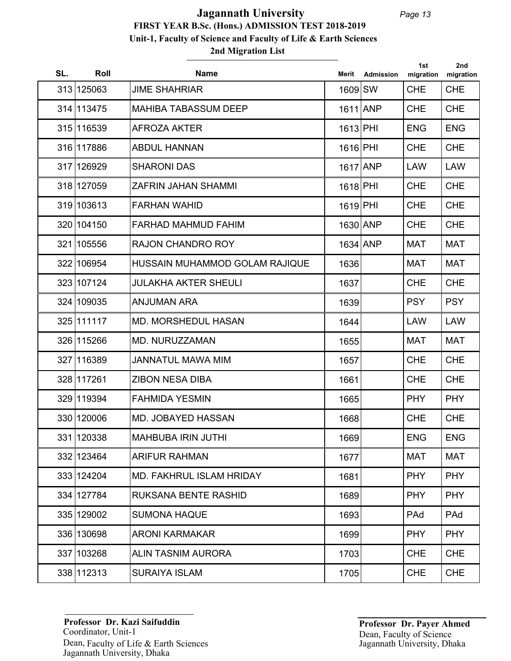## **2nd Migration List FIRST YEAR B.Sc. (Hons.) ADMISSION TEST 2018-2019 Unit-1, Faculty of Science and Faculty of Life & Earth Sciences Jagannath University**

| SL. | Roll       | <b>Name</b>                     | Merit      | <b>Admission</b> | 1st<br>migration | 2nd<br>migration |
|-----|------------|---------------------------------|------------|------------------|------------------|------------------|
|     | 313 125063 | <b>JIME SHAHRIAR</b>            | 1609 SW    |                  | <b>CHE</b>       | <b>CHE</b>       |
|     | 314 113475 | <b>MAHIBA TABASSUM DEEP</b>     | $1611$ ANP |                  | <b>CHE</b>       | <b>CHE</b>       |
|     | 315 116539 | <b>AFROZA AKTER</b>             | 1613 PHI   |                  | <b>ENG</b>       | <b>ENG</b>       |
|     | 316 117886 | <b>ABDUL HANNAN</b>             | 1616 PHI   |                  | <b>CHE</b>       | <b>CHE</b>       |
|     | 317 126929 | <b>SHARONI DAS</b>              | $1617$ ANP |                  | <b>LAW</b>       | <b>LAW</b>       |
|     | 318 127059 | ZAFRIN JAHAN SHAMMI             | 1618 PHI   |                  | <b>CHE</b>       | <b>CHE</b>       |
|     | 319 103613 | <b>FARHAN WAHID</b>             | 1619 PHI   |                  | <b>CHE</b>       | <b>CHE</b>       |
|     | 320 104150 | FARHAD MAHMUD FAHIM             | 1630 ANP   |                  | <b>CHE</b>       | <b>CHE</b>       |
|     | 321 105556 | <b>RAJON CHANDRO ROY</b>        | 1634 ANP   |                  | <b>MAT</b>       | <b>MAT</b>       |
|     | 322 106954 | HUSSAIN MUHAMMOD GOLAM RAJIQUE  | 1636       |                  | <b>MAT</b>       | <b>MAT</b>       |
|     | 323 107124 | <b>JULAKHA AKTER SHEULI</b>     | 1637       |                  | <b>CHE</b>       | <b>CHE</b>       |
|     | 324 109035 | <b>ANJUMAN ARA</b>              | 1639       |                  | <b>PSY</b>       | <b>PSY</b>       |
|     | 325 111117 | <b>MD. MORSHEDUL HASAN</b>      | 1644       |                  | LAW              | <b>LAW</b>       |
|     | 326 115266 | MD. NURUZZAMAN                  | 1655       |                  | <b>MAT</b>       | <b>MAT</b>       |
|     | 327 116389 | <b>JANNATUL MAWA MIM</b>        | 1657       |                  | <b>CHE</b>       | <b>CHE</b>       |
|     | 328 117261 | <b>ZIBON NESA DIBA</b>          | 1661       |                  | <b>CHE</b>       | <b>CHE</b>       |
|     | 329 119394 | <b>FAHMIDA YESMIN</b>           | 1665       |                  | <b>PHY</b>       | <b>PHY</b>       |
|     | 330 120006 | <b>MD. JOBAYED HASSAN</b>       | 1668       |                  | <b>CHE</b>       | <b>CHE</b>       |
|     | 331 120338 | <b>MAHBUBA IRIN JUTHI</b>       | 1669       |                  | <b>ENG</b>       | <b>ENG</b>       |
|     | 332 123464 | <b>ARIFUR RAHMAN</b>            | 1677       |                  | <b>MAT</b>       | <b>MAT</b>       |
|     | 333 124204 | <b>MD. FAKHRUL ISLAM HRIDAY</b> | 1681       |                  | <b>PHY</b>       | <b>PHY</b>       |
|     | 334 127784 | RUKSANA BENTE RASHID            | 1689       |                  | <b>PHY</b>       | <b>PHY</b>       |
|     | 335 129002 | <b>SUMONA HAQUE</b>             | 1693       |                  | PAd              | PAd              |
|     | 336 130698 | <b>ARONI KARMAKAR</b>           | 1699       |                  | <b>PHY</b>       | <b>PHY</b>       |
|     | 337 103268 | ALIN TASNIM AURORA              | 1703       |                  | <b>CHE</b>       | <b>CHE</b>       |
|     | 338 112313 | <b>SURAIYA ISLAM</b>            | 1705       |                  | <b>CHE</b>       | <b>CHE</b>       |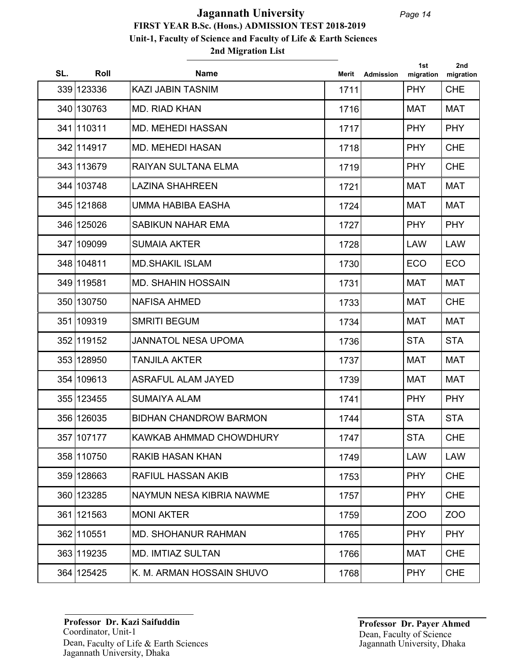| SL. | Roll       | <b>Name</b>                     | Merit | <b>Admission</b> | 1st<br>migration | 2nd<br>migration |
|-----|------------|---------------------------------|-------|------------------|------------------|------------------|
|     | 339 123336 | <b>KAZI JABIN TASNIM</b>        | 1711  |                  | <b>PHY</b>       | <b>CHE</b>       |
|     | 340 130763 | MD. RIAD KHAN                   | 1716  |                  | <b>MAT</b>       | <b>MAT</b>       |
|     | 341 110311 | <b>MD. MEHEDI HASSAN</b>        | 1717  |                  | <b>PHY</b>       | <b>PHY</b>       |
|     | 342 114917 | <b>MD. MEHEDI HASAN</b>         | 1718  |                  | <b>PHY</b>       | <b>CHE</b>       |
|     | 343 113679 | <b>RAIYAN SULTANA ELMA</b>      | 1719  |                  | <b>PHY</b>       | <b>CHE</b>       |
|     | 344 103748 | <b>LAZINA SHAHREEN</b>          | 1721  |                  | <b>MAT</b>       | <b>MAT</b>       |
|     | 345 121868 | UMMA HABIBA EASHA               | 1724  |                  | <b>MAT</b>       | <b>MAT</b>       |
|     | 346 125026 | <b>SABIKUN NAHAR EMA</b>        | 1727  |                  | <b>PHY</b>       | <b>PHY</b>       |
|     | 347 109099 | <b>SUMAIA AKTER</b>             | 1728  |                  | <b>LAW</b>       | <b>LAW</b>       |
|     | 348 104811 | <b>MD.SHAKIL ISLAM</b>          | 1730  |                  | <b>ECO</b>       | <b>ECO</b>       |
|     | 349 119581 | <b>MD. SHAHIN HOSSAIN</b>       | 1731  |                  | <b>MAT</b>       | <b>MAT</b>       |
|     | 350 130750 | <b>NAFISA AHMED</b>             | 1733  |                  | <b>MAT</b>       | <b>CHE</b>       |
|     | 351 109319 | <b>SMRITI BEGUM</b>             | 1734  |                  | <b>MAT</b>       | <b>MAT</b>       |
|     | 352 119152 | <b>JANNATOL NESA UPOMA</b>      | 1736  |                  | <b>STA</b>       | <b>STA</b>       |
|     | 353 128950 | <b>TANJILA AKTER</b>            | 1737  |                  | <b>MAT</b>       | <b>MAT</b>       |
|     | 354 109613 | <b>ASRAFUL ALAM JAYED</b>       | 1739  |                  | <b>MAT</b>       | <b>MAT</b>       |
|     | 355 123455 | <b>SUMAIYA ALAM</b>             | 1741  |                  | <b>PHY</b>       | <b>PHY</b>       |
|     | 356 126035 | <b>BIDHAN CHANDROW BARMON</b>   | 1744  |                  | <b>STA</b>       | <b>STA</b>       |
|     | 357 107177 | KAWKAB AHMMAD CHOWDHURY         | 1747  |                  | <b>STA</b>       | <b>CHE</b>       |
|     | 358 110750 | <b>RAKIB HASAN KHAN</b>         | 1749  |                  | <b>LAW</b>       | <b>LAW</b>       |
|     | 359 128663 | <b>RAFIUL HASSAN AKIB</b>       | 1753  |                  | <b>PHY</b>       | <b>CHE</b>       |
|     | 360 123285 | <b>NAYMUN NESA KIBRIA NAWME</b> | 1757  |                  | <b>PHY</b>       | <b>CHE</b>       |
|     | 361 121563 | <b>MONI AKTER</b>               | 1759  |                  | ZOO              | ZOO              |
|     | 362 110551 | <b>MD. SHOHANUR RAHMAN</b>      | 1765  |                  | <b>PHY</b>       | <b>PHY</b>       |
|     | 363 119235 | <b>MD. IMTIAZ SULTAN</b>        | 1766  |                  | <b>MAT</b>       | <b>CHE</b>       |
|     | 364 125425 | K. M. ARMAN HOSSAIN SHUVO       | 1768  |                  | <b>PHY</b>       | <b>CHE</b>       |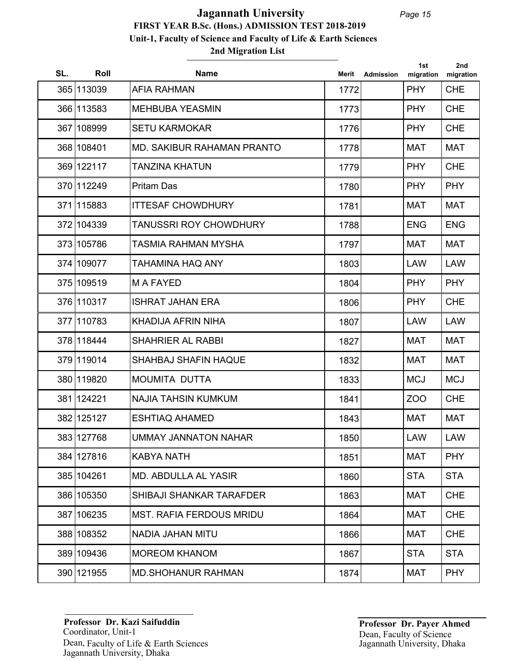| SL. | Roll       | <b>Name</b>                     | Merit | Admission | 1st<br>migration | 2nd<br>migration |
|-----|------------|---------------------------------|-------|-----------|------------------|------------------|
|     | 365 113039 | <b>AFIA RAHMAN</b>              | 1772  |           | <b>PHY</b>       | <b>CHE</b>       |
|     | 366 113583 | <b>MEHBUBA YEASMIN</b>          | 1773  |           | <b>PHY</b>       | <b>CHE</b>       |
|     | 367 108999 | <b>SETU KARMOKAR</b>            | 1776  |           | <b>PHY</b>       | <b>CHE</b>       |
|     | 368 108401 | MD. SAKIBUR RAHAMAN PRANTO      | 1778  |           | <b>MAT</b>       | <b>MAT</b>       |
|     | 369 122117 | <b>TANZINA KHATUN</b>           | 1779  |           | <b>PHY</b>       | <b>CHE</b>       |
|     | 370 112249 | <b>Pritam Das</b>               | 1780  |           | <b>PHY</b>       | <b>PHY</b>       |
|     | 371 115883 | <b>ITTESAF CHOWDHURY</b>        | 1781  |           | <b>MAT</b>       | <b>MAT</b>       |
|     | 372 104339 | <b>TANUSSRI ROY CHOWDHURY</b>   | 1788  |           | <b>ENG</b>       | <b>ENG</b>       |
|     | 373 105786 | TASMIA RAHMAN MYSHA             | 1797  |           | <b>MAT</b>       | <b>MAT</b>       |
|     | 374 109077 | TAHAMINA HAQ ANY                | 1803  |           | <b>LAW</b>       | <b>LAW</b>       |
|     | 375 109519 | <b>MAFAYED</b>                  | 1804  |           | <b>PHY</b>       | <b>PHY</b>       |
|     | 376 110317 | <b>ISHRAT JAHAN ERA</b>         | 1806  |           | <b>PHY</b>       | <b>CHE</b>       |
|     | 377 110783 | KHADIJA AFRIN NIHA              | 1807  |           | <b>LAW</b>       | <b>LAW</b>       |
|     | 378 118444 | <b>SHAHRIER AL RABBI</b>        | 1827  |           | <b>MAT</b>       | <b>MAT</b>       |
|     | 379 119014 | <b>SHAHBAJ SHAFIN HAQUE</b>     | 1832  |           | <b>MAT</b>       | <b>MAT</b>       |
|     | 380 119820 | <b>MOUMITA DUTTA</b>            | 1833  |           | <b>MCJ</b>       | <b>MCJ</b>       |
|     | 381 124221 | <b>NAJIA TAHSIN KUMKUM</b>      | 1841  |           | ZO <sub>O</sub>  | <b>CHE</b>       |
|     | 382 125127 | <b>ESHTIAQ AHAMED</b>           | 1843  |           | <b>MAT</b>       | <b>MAT</b>       |
|     | 383 127768 | <b>UMMAY JANNATON NAHAR</b>     | 1850  |           | LAW              | LAW              |
|     | 384 127816 | <b>KABYA NATH</b>               | 1851  |           | <b>MAT</b>       | <b>PHY</b>       |
|     | 385 104261 | <b>MD. ABDULLA AL YASIR</b>     | 1860  |           | <b>STA</b>       | <b>STA</b>       |
|     | 386 105350 | SHIBAJI SHANKAR TARAFDER        | 1863  |           | <b>MAT</b>       | <b>CHE</b>       |
|     | 387 106235 | <b>MST. RAFIA FERDOUS MRIDU</b> | 1864  |           | <b>MAT</b>       | <b>CHE</b>       |
|     | 388 108352 | NADIA JAHAN MITU                | 1866  |           | <b>MAT</b>       | <b>CHE</b>       |
|     | 389 109436 | <b>MOREOM KHANOM</b>            | 1867  |           | <b>STA</b>       | <b>STA</b>       |
|     | 390 121955 | <b>MD.SHOHANUR RAHMAN</b>       | 1874  |           | <b>MAT</b>       | <b>PHY</b>       |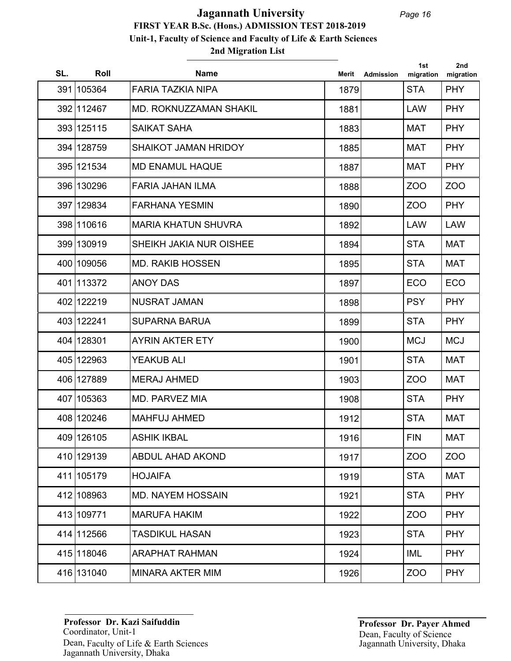## **2nd Migration List FIRST YEAR B.Sc. (Hons.) ADMISSION TEST 2018-2019 Unit-1, Faculty of Science and Faculty of Life & Earth Sciences Jagannath University**

| SL. | Roll       | <b>Name</b>                   | Merit | Admission | 1st<br>migration | 2nd<br>migration |
|-----|------------|-------------------------------|-------|-----------|------------------|------------------|
|     | 391 105364 | <b>FARIA TAZKIA NIPA</b>      | 1879  |           | <b>STA</b>       | <b>PHY</b>       |
|     | 392 112467 | <b>MD. ROKNUZZAMAN SHAKIL</b> | 1881  |           | <b>LAW</b>       | <b>PHY</b>       |
|     | 393 125115 | <b>SAIKAT SAHA</b>            | 1883  |           | <b>MAT</b>       | <b>PHY</b>       |
|     | 394 128759 | <b>SHAIKOT JAMAN HRIDOY</b>   | 1885  |           | <b>MAT</b>       | <b>PHY</b>       |
|     | 395 121534 | <b>MD ENAMUL HAQUE</b>        | 1887  |           | <b>MAT</b>       | <b>PHY</b>       |
|     | 396 130296 | <b>FARIA JAHAN ILMA</b>       | 1888  |           | ZO <sub>O</sub>  | ZOO              |
|     | 397 129834 | <b>FARHANA YESMIN</b>         | 1890  |           | ZO <sub>O</sub>  | <b>PHY</b>       |
|     | 398 110616 | <b>MARIA KHATUN SHUVRA</b>    | 1892  |           | <b>LAW</b>       | <b>LAW</b>       |
|     | 399 130919 | SHEIKH JAKIA NUR OISHEE       | 1894  |           | <b>STA</b>       | <b>MAT</b>       |
|     | 400 109056 | <b>MD. RAKIB HOSSEN</b>       | 1895  |           | <b>STA</b>       | <b>MAT</b>       |
|     | 401 113372 | <b>ANOY DAS</b>               | 1897  |           | <b>ECO</b>       | <b>ECO</b>       |
|     | 402 122219 | <b>NUSRAT JAMAN</b>           | 1898  |           | <b>PSY</b>       | <b>PHY</b>       |
|     | 403 122241 | <b>SUPARNA BARUA</b>          | 1899  |           | <b>STA</b>       | <b>PHY</b>       |
|     | 404 128301 | <b>AYRIN AKTER ETY</b>        | 1900  |           | <b>MCJ</b>       | <b>MCJ</b>       |
|     | 405 122963 | <b>YEAKUB ALI</b>             | 1901  |           | <b>STA</b>       | <b>MAT</b>       |
|     | 406 127889 | <b>MERAJ AHMED</b>            | 1903  |           | <b>ZOO</b>       | <b>MAT</b>       |
|     | 407 105363 | <b>MD. PARVEZ MIA</b>         | 1908  |           | <b>STA</b>       | <b>PHY</b>       |
|     | 408 120246 | <b>MAHFUJ AHMED</b>           | 1912  |           | <b>STA</b>       | <b>MAT</b>       |
|     | 409 126105 | <b>ASHIK IKBAL</b>            | 1916  |           | <b>FIN</b>       | <b>MAT</b>       |
|     | 410 129139 | <b>ABDUL AHAD AKOND</b>       | 1917  |           | ZO <sub>O</sub>  | ZO <sub>O</sub>  |
|     | 411 105179 | <b>HOJAIFA</b>                | 1919  |           | <b>STA</b>       | <b>MAT</b>       |
|     | 412 108963 | <b>MD. NAYEM HOSSAIN</b>      | 1921  |           | <b>STA</b>       | <b>PHY</b>       |
|     | 413 109771 | <b>MARUFA HAKIM</b>           | 1922  |           | ZO <sub>O</sub>  | <b>PHY</b>       |
|     | 414 112566 | TASDIKUL HASAN                | 1923  |           | <b>STA</b>       | <b>PHY</b>       |
|     | 415 118046 | <b>ARAPHAT RAHMAN</b>         | 1924  |           | IML              | <b>PHY</b>       |
|     | 416 131040 | <b>MINARA AKTER MIM</b>       | 1926  |           | ZOO              | <b>PHY</b>       |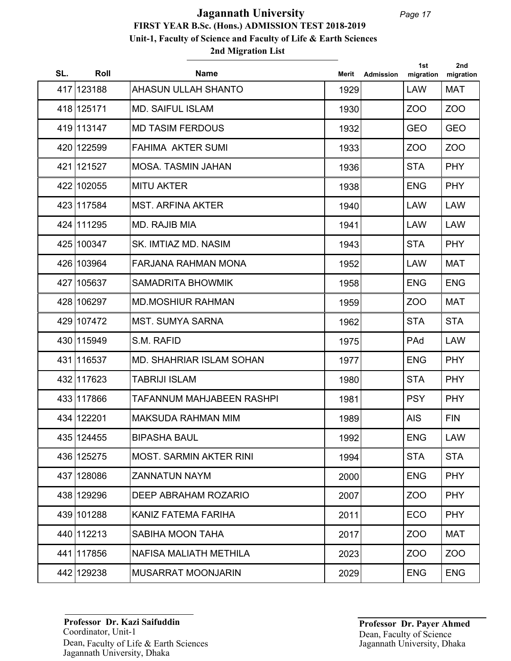## **2nd Migration List FIRST YEAR B.Sc. (Hons.) ADMISSION TEST 2018-2019 Unit-1, Faculty of Science and Faculty of Life & Earth Sciences Jagannath University**

| SL. | Roll       | <b>Name</b>                      | Merit | <b>Admission</b> | 1st<br>migration | 2nd<br>migration |
|-----|------------|----------------------------------|-------|------------------|------------------|------------------|
|     | 417 123188 | <b>AHASUN ULLAH SHANTO</b>       | 1929  |                  | <b>LAW</b>       | <b>MAT</b>       |
|     | 418 125171 | <b>MD. SAIFUL ISLAM</b>          | 1930  |                  | ZOO              | ZO <sub>O</sub>  |
|     | 419 113147 | <b>MD TASIM FERDOUS</b>          | 1932  |                  | <b>GEO</b>       | <b>GEO</b>       |
|     | 420 122599 | <b>FAHIMA AKTER SUMI</b>         | 1933  |                  | ZOO              | ZOO              |
|     | 421 121527 | <b>MOSA, TASMIN JAHAN</b>        | 1936  |                  | <b>STA</b>       | <b>PHY</b>       |
|     | 422 102055 | <b>MITU AKTER</b>                | 1938  |                  | <b>ENG</b>       | <b>PHY</b>       |
|     | 423 117584 | <b>MST. ARFINA AKTER</b>         | 1940  |                  | <b>LAW</b>       | <b>LAW</b>       |
|     | 424 111295 | MD. RAJIB MIA                    | 1941  |                  | <b>LAW</b>       | <b>LAW</b>       |
|     | 425 100347 | SK. IMTIAZ MD. NASIM             | 1943  |                  | <b>STA</b>       | <b>PHY</b>       |
|     | 426 103964 | <b>FARJANA RAHMAN MONA</b>       | 1952  |                  | <b>LAW</b>       | <b>MAT</b>       |
|     | 427 105637 | <b>SAMADRITA BHOWMIK</b>         | 1958  |                  | <b>ENG</b>       | <b>ENG</b>       |
|     | 428 106297 | <b>MD.MOSHIUR RAHMAN</b>         | 1959  |                  | ZOO              | <b>MAT</b>       |
|     | 429 107472 | <b>MST. SUMYA SARNA</b>          | 1962  |                  | <b>STA</b>       | <b>STA</b>       |
|     | 430 115949 | S.M. RAFID                       | 1975  |                  | PAd              | <b>LAW</b>       |
|     | 431 116537 | <b>MD. SHAHRIAR ISLAM SOHAN</b>  | 1977  |                  | <b>ENG</b>       | <b>PHY</b>       |
|     | 432 117623 | <b>TABRIJI ISLAM</b>             | 1980  |                  | <b>STA</b>       | <b>PHY</b>       |
|     | 433 117866 | <b>TAFANNUM MAHJABEEN RASHPI</b> | 1981  |                  | <b>PSY</b>       | <b>PHY</b>       |
|     | 434 122201 | <b>MAKSUDA RAHMAN MIM</b>        | 1989  |                  | <b>AIS</b>       | <b>FIN</b>       |
|     | 435 124455 | <b>BIPASHA BAUL</b>              | 1992  |                  | <b>ENG</b>       | <b>LAW</b>       |
|     | 436 125275 | <b>MOST. SARMIN AKTER RINI</b>   | 1994  |                  | <b>STA</b>       | <b>STA</b>       |
|     | 437 128086 | <b>ZANNATUN NAYM</b>             | 2000  |                  | <b>ENG</b>       | <b>PHY</b>       |
|     | 438 129296 | DEEP ABRAHAM ROZARIO             | 2007  |                  | ZOO              | <b>PHY</b>       |
|     | 439 101288 | KANIZ FATEMA FARIHA              | 2011  |                  | <b>ECO</b>       | <b>PHY</b>       |
|     | 440 112213 | SABIHA MOON TAHA                 | 2017  |                  | ZOO              | <b>MAT</b>       |
|     | 441 117856 | NAFISA MALIATH METHILA           | 2023  |                  | ZOO              | ZOO              |
|     | 442 129238 | <b>MUSARRAT MOONJARIN</b>        | 2029  |                  | <b>ENG</b>       | <b>ENG</b>       |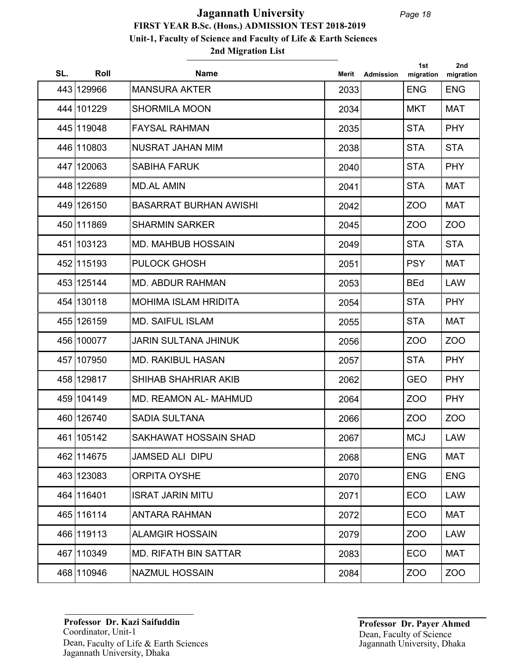| SL. | Roll       | <b>Name</b>                   | Merit | <b>Admission</b> | 1st<br>migration | 2nd<br>migration |
|-----|------------|-------------------------------|-------|------------------|------------------|------------------|
|     | 443 129966 | <b>MANSURA AKTER</b>          | 2033  |                  | <b>ENG</b>       | <b>ENG</b>       |
|     | 444 101229 | <b>SHORMILA MOON</b>          | 2034  |                  | <b>MKT</b>       | <b>MAT</b>       |
|     | 445 119048 | <b>FAYSAL RAHMAN</b>          | 2035  |                  | <b>STA</b>       | <b>PHY</b>       |
|     | 446 110803 | <b>NUSRAT JAHAN MIM</b>       | 2038  |                  | <b>STA</b>       | <b>STA</b>       |
|     | 447 120063 | <b>SABIHA FARUK</b>           | 2040  |                  | <b>STA</b>       | <b>PHY</b>       |
|     | 448 122689 | <b>MD.AL AMIN</b>             | 2041  |                  | <b>STA</b>       | <b>MAT</b>       |
|     | 449 126150 | <b>BASARRAT BURHAN AWISHI</b> | 2042  |                  | ZO <sub>O</sub>  | <b>MAT</b>       |
|     | 450 111869 | <b>SHARMIN SARKER</b>         | 2045  |                  | ZO <sub>O</sub>  | ZO <sub>O</sub>  |
|     | 451 103123 | <b>MD. MAHBUB HOSSAIN</b>     | 2049  |                  | <b>STA</b>       | <b>STA</b>       |
|     | 452 115193 | <b>PULOCK GHOSH</b>           | 2051  |                  | <b>PSY</b>       | <b>MAT</b>       |
|     | 453 125144 | <b>MD. ABDUR RAHMAN</b>       | 2053  |                  | <b>BEd</b>       | <b>LAW</b>       |
|     | 454 130118 | <b>MOHIMA ISLAM HRIDITA</b>   | 2054  |                  | <b>STA</b>       | <b>PHY</b>       |
|     | 455 126159 | <b>MD. SAIFUL ISLAM</b>       | 2055  |                  | <b>STA</b>       | <b>MAT</b>       |
|     | 456 100077 | <b>JARIN SULTANA JHINUK</b>   | 2056  |                  | ZOO              | ZOO              |
|     | 457 107950 | <b>MD. RAKIBUL HASAN</b>      | 2057  |                  | <b>STA</b>       | <b>PHY</b>       |
|     | 458 129817 | SHIHAB SHAHRIAR AKIB          | 2062  |                  | <b>GEO</b>       | <b>PHY</b>       |
|     | 459 104149 | MD. REAMON AL- MAHMUD         | 2064  |                  | ZO <sub>O</sub>  | <b>PHY</b>       |
|     | 460 126740 | <b>SADIA SULTANA</b>          | 2066  |                  | <b>ZOO</b>       | ZO <sub>O</sub>  |
|     | 461 105142 | SAKHAWAT HOSSAIN SHAD         | 2067  |                  | <b>MCJ</b>       | LAW              |
|     | 462 114675 | <b>JAMSED ALI DIPU</b>        | 2068  |                  | <b>ENG</b>       | <b>MAT</b>       |
|     | 463 123083 | <b>ORPITA OYSHE</b>           | 2070  |                  | <b>ENG</b>       | <b>ENG</b>       |
|     | 464 116401 | <b>ISRAT JARIN MITU</b>       | 2071  |                  | <b>ECO</b>       | <b>LAW</b>       |
|     | 465 116114 | <b>ANTARA RAHMAN</b>          | 2072  |                  | <b>ECO</b>       | <b>MAT</b>       |
|     | 466 119113 | <b>ALAMGIR HOSSAIN</b>        | 2079  |                  | ZOO              | <b>LAW</b>       |
|     | 467 110349 | <b>MD. RIFATH BIN SATTAR</b>  | 2083  |                  | <b>ECO</b>       | MAT              |
|     | 468 110946 | NAZMUL HOSSAIN                | 2084  |                  | ZOO              | ZOO              |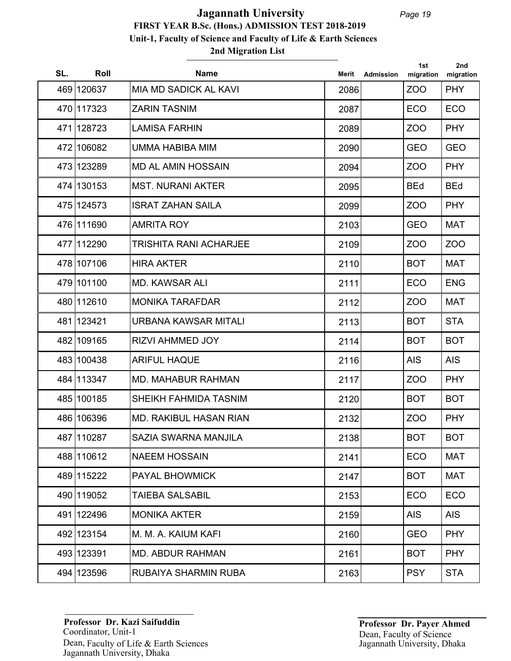| SL. | Roll       | <b>Name</b>                   | Merit | <b>Admission</b> | 1st<br>migration | 2nd<br>migration |
|-----|------------|-------------------------------|-------|------------------|------------------|------------------|
|     | 469 120637 | MIA MD SADICK AL KAVI         | 2086  |                  | ZO <sub>O</sub>  | <b>PHY</b>       |
|     | 470 117323 | <b>ZARIN TASNIM</b>           | 2087  |                  | <b>ECO</b>       | <b>ECO</b>       |
|     | 471 128723 | <b>LAMISA FARHIN</b>          | 2089  |                  | ZOO              | <b>PHY</b>       |
|     | 472 106082 | UMMA HABIBA MIM               | 2090  |                  | <b>GEO</b>       | <b>GEO</b>       |
|     | 473 123289 | <b>MD AL AMIN HOSSAIN</b>     | 2094  |                  | ZO <sub>O</sub>  | <b>PHY</b>       |
|     | 474 130153 | <b>MST. NURANI AKTER</b>      | 2095  |                  | <b>BEd</b>       | <b>BEd</b>       |
|     | 475 124573 | <b>ISRAT ZAHAN SAILA</b>      | 2099  |                  | ZOO              | <b>PHY</b>       |
|     | 476 111690 | <b>AMRITA ROY</b>             | 2103  |                  | <b>GEO</b>       | <b>MAT</b>       |
|     | 477 112290 | <b>TRISHITA RANI ACHARJEE</b> | 2109  |                  | ZOO              | ZO <sub>O</sub>  |
|     | 478 107106 | <b>HIRA AKTER</b>             | 2110  |                  | <b>BOT</b>       | <b>MAT</b>       |
|     | 479 101100 | <b>MD. KAWSAR ALI</b>         | 2111  |                  | <b>ECO</b>       | <b>ENG</b>       |
|     | 480 112610 | <b>MONIKA TARAFDAR</b>        | 2112  |                  | ZO <sub>O</sub>  | <b>MAT</b>       |
|     | 481 123421 | URBANA KAWSAR MITALI          | 2113  |                  | <b>BOT</b>       | <b>STA</b>       |
|     | 482 109165 | <b>RIZVI AHMMED JOY</b>       | 2114  |                  | <b>BOT</b>       | <b>BOT</b>       |
|     | 483 100438 | <b>ARIFUL HAQUE</b>           | 2116  |                  | <b>AIS</b>       | <b>AIS</b>       |
|     | 484 113347 | <b>MD. MAHABUR RAHMAN</b>     | 2117  |                  | ZOO              | <b>PHY</b>       |
|     | 485 100185 | SHEIKH FAHMIDA TASNIM         | 2120  |                  | <b>BOT</b>       | <b>BOT</b>       |
|     | 486 106396 | <b>MD. RAKIBUL HASAN RIAN</b> | 2132  |                  | ZOO              | <b>PHY</b>       |
|     | 487 110287 | SAZIA SWARNA MANJILA          | 2138  |                  | <b>BOT</b>       | <b>BOT</b>       |
|     | 488 110612 | <b>NAEEM HOSSAIN</b>          | 2141  |                  | <b>ECO</b>       | <b>MAT</b>       |
|     | 489 115222 | <b>PAYAL BHOWMICK</b>         | 2147  |                  | <b>BOT</b>       | <b>MAT</b>       |
|     | 490 119052 | <b>TAIEBA SALSABIL</b>        | 2153  |                  | <b>ECO</b>       | <b>ECO</b>       |
|     | 491 122496 | <b>MONIKA AKTER</b>           | 2159  |                  | <b>AIS</b>       | AIS              |
|     | 492 123154 | M. M. A. KAIUM KAFI           | 2160  |                  | <b>GEO</b>       | <b>PHY</b>       |
|     | 493 123391 | <b>MD. ABDUR RAHMAN</b>       | 2161  |                  | <b>BOT</b>       | <b>PHY</b>       |
|     | 494 123596 | RUBAIYA SHARMIN RUBA          | 2163  |                  | <b>PSY</b>       | <b>STA</b>       |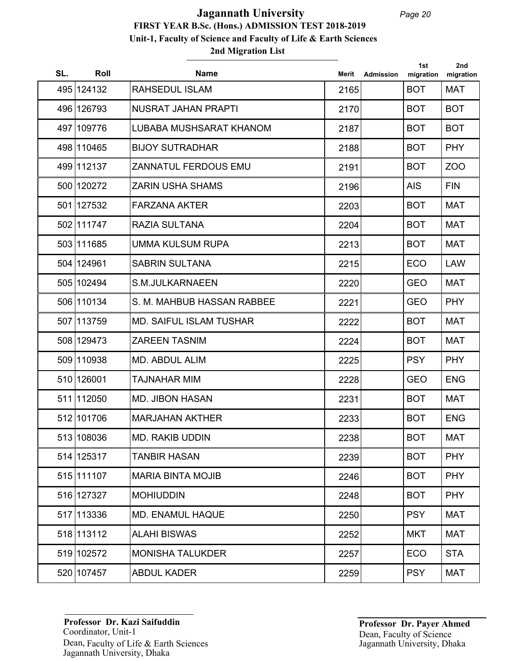| SL. | Roll       | <b>Name</b>                    | Merit | Admission | 1st<br>migration | 2 <sub>nd</sub><br>migration |
|-----|------------|--------------------------------|-------|-----------|------------------|------------------------------|
|     | 495 124132 | <b>RAHSEDUL ISLAM</b>          | 2165  |           | <b>BOT</b>       | <b>MAT</b>                   |
|     | 496 126793 | <b>NUSRAT JAHAN PRAPTI</b>     | 2170  |           | <b>BOT</b>       | <b>BOT</b>                   |
|     | 497 109776 | LUBABA MUSHSARAT KHANOM        | 2187  |           | <b>BOT</b>       | <b>BOT</b>                   |
|     | 498 110465 | <b>BIJOY SUTRADHAR</b>         | 2188  |           | <b>BOT</b>       | <b>PHY</b>                   |
|     | 499 112137 | ZANNATUL FERDOUS EMU           | 2191  |           | <b>BOT</b>       | ZO <sub>O</sub>              |
|     | 500 120272 | <b>ZARIN USHA SHAMS</b>        | 2196  |           | <b>AIS</b>       | <b>FIN</b>                   |
|     | 501 127532 | <b>FARZANA AKTER</b>           | 2203  |           | <b>BOT</b>       | <b>MAT</b>                   |
|     | 502 111747 | RAZIA SULTANA                  | 2204  |           | <b>BOT</b>       | <b>MAT</b>                   |
|     | 503 111685 | UMMA KULSUM RUPA               | 2213  |           | <b>BOT</b>       | <b>MAT</b>                   |
|     | 504 124961 | <b>SABRIN SULTANA</b>          | 2215  |           | <b>ECO</b>       | <b>LAW</b>                   |
|     | 505 102494 | S.M.JULKARNAEEN                | 2220  |           | <b>GEO</b>       | <b>MAT</b>                   |
|     | 506 110134 | S. M. MAHBUB HASSAN RABBEE     | 2221  |           | <b>GEO</b>       | <b>PHY</b>                   |
|     | 507 113759 | <b>MD. SAIFUL ISLAM TUSHAR</b> | 2222  |           | <b>BOT</b>       | <b>MAT</b>                   |
|     | 508 129473 | <b>ZAREEN TASNIM</b>           | 2224  |           | <b>BOT</b>       | <b>MAT</b>                   |
|     | 509 110938 | <b>MD. ABDUL ALIM</b>          | 2225  |           | <b>PSY</b>       | <b>PHY</b>                   |
|     | 510 126001 | TAJNAHAR MIM                   | 2228  |           | <b>GEO</b>       | <b>ENG</b>                   |
|     | 511 112050 | <b>MD. JIBON HASAN</b>         | 2231  |           | <b>BOT</b>       | <b>MAT</b>                   |
|     | 512 101706 | <b>MARJAHAN AKTHER</b>         | 2233  |           | <b>BOT</b>       | <b>ENG</b>                   |
|     | 513 108036 | MD. RAKIB UDDIN                | 2238  |           | <b>BOT</b>       | <b>MAT</b>                   |
|     | 514 125317 | <b>TANBIR HASAN</b>            | 2239  |           | <b>BOT</b>       | <b>PHY</b>                   |
|     | 515 111107 | <b>MARIA BINTA MOJIB</b>       | 2246  |           | <b>BOT</b>       | <b>PHY</b>                   |
|     | 516 127327 | <b>MOHIUDDIN</b>               | 2248  |           | <b>BOT</b>       | <b>PHY</b>                   |
|     | 517 113336 | <b>MD. ENAMUL HAQUE</b>        | 2250  |           | <b>PSY</b>       | <b>MAT</b>                   |
|     | 518 113112 | <b>ALAHI BISWAS</b>            | 2252  |           | MKT              | <b>MAT</b>                   |
|     | 519 102572 | <b>MONISHA TALUKDER</b>        | 2257  |           | <b>ECO</b>       | <b>STA</b>                   |
|     | 520 107457 | <b>ABDUL KADER</b>             | 2259  |           | <b>PSY</b>       | <b>MAT</b>                   |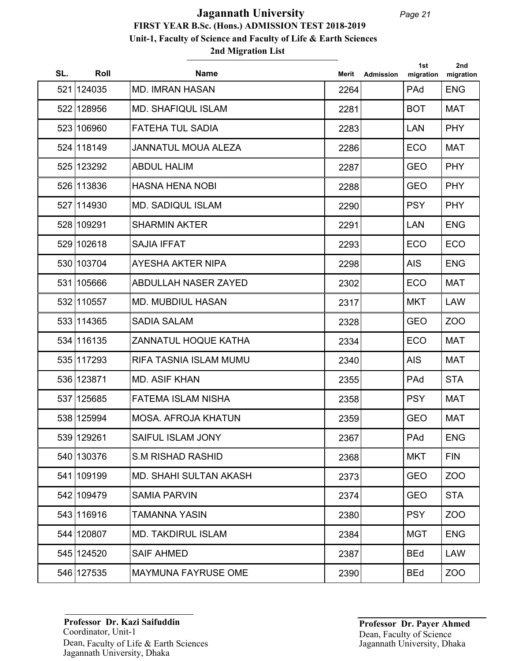## **2nd Migration List FIRST YEAR B.Sc. (Hons.) ADMISSION TEST 2018-2019 Unit-1, Faculty of Science and Faculty of Life & Earth Sciences Jagannath University**

| SL. | Roll       | <b>Name</b>                   | Merit | <b>Admission</b> | 1st<br>migration | 2nd<br>migration |
|-----|------------|-------------------------------|-------|------------------|------------------|------------------|
|     | 521 124035 | <b>MD. IMRAN HASAN</b>        | 2264  |                  | PAd              | <b>ENG</b>       |
|     | 522 128956 | <b>MD. SHAFIQUL ISLAM</b>     | 2281  |                  | <b>BOT</b>       | <b>MAT</b>       |
|     | 523 106960 | <b>FATEHA TUL SADIA</b>       | 2283  |                  | <b>LAN</b>       | <b>PHY</b>       |
|     | 524 118149 | <b>JANNATUL MOUA ALEZA</b>    | 2286  |                  | ECO              | <b>MAT</b>       |
|     | 525 123292 | <b>ABDUL HALIM</b>            | 2287  |                  | <b>GEO</b>       | <b>PHY</b>       |
|     | 526 113836 | <b>HASNA HENA NOBI</b>        | 2288  |                  | <b>GEO</b>       | <b>PHY</b>       |
|     | 527 114930 | <b>MD. SADIQUL ISLAM</b>      | 2290  |                  | <b>PSY</b>       | <b>PHY</b>       |
|     | 528 109291 | <b>SHARMIN AKTER</b>          | 2291  |                  | <b>LAN</b>       | <b>ENG</b>       |
|     | 529 102618 | <b>SAJIA IFFAT</b>            | 2293  |                  | <b>ECO</b>       | <b>ECO</b>       |
|     | 530 103704 | AYESHA AKTER NIPA             | 2298  |                  | <b>AIS</b>       | <b>ENG</b>       |
|     | 531 105666 | <b>ABDULLAH NASER ZAYED</b>   | 2302  |                  | <b>ECO</b>       | MAT              |
|     | 532 110557 | <b>MD. MUBDIUL HASAN</b>      | 2317  |                  | <b>MKT</b>       | <b>LAW</b>       |
|     | 533 114365 | <b>SADIA SALAM</b>            | 2328  |                  | <b>GEO</b>       | ZOO              |
|     | 534 116135 | <b>ZANNATUL HOQUE KATHA</b>   | 2334  |                  | <b>ECO</b>       | <b>MAT</b>       |
|     | 535 117293 | RIFA TASNIA ISLAM MUMU        | 2340  |                  | <b>AIS</b>       | <b>MAT</b>       |
|     | 536 123871 | <b>MD. ASIF KHAN</b>          | 2355  |                  | PAd              | <b>STA</b>       |
|     | 537 125685 | <b>FATEMA ISLAM NISHA</b>     | 2358  |                  | <b>PSY</b>       | <b>MAT</b>       |
|     | 538 125994 | <b>MOSA. AFROJA KHATUN</b>    | 2359  |                  | <b>GEO</b>       | <b>MAT</b>       |
|     | 539 129261 | SAIFUL ISLAM JONY             | 2367  |                  | PAd              | <b>ENG</b>       |
|     | 540 130376 | <b>S.M RISHAD RASHID</b>      | 2368  |                  | <b>MKT</b>       | <b>FIN</b>       |
|     | 541 109199 | <b>MD. SHAHI SULTAN AKASH</b> | 2373  |                  | <b>GEO</b>       | ZOO              |
|     | 542 109479 | <b>SAMIA PARVIN</b>           | 2374  |                  | <b>GEO</b>       | <b>STA</b>       |
|     | 543 116916 | TAMANNA YASIN                 | 2380  |                  | <b>PSY</b>       | ZOO              |
|     | 544 120807 | <b>MD. TAKDIRUL ISLAM</b>     | 2384  |                  | <b>MGT</b>       | <b>ENG</b>       |
|     | 545 124520 | <b>SAIF AHMED</b>             | 2387  |                  | <b>BEd</b>       | <b>LAW</b>       |
|     | 546 127535 | <b>MAYMUNA FAYRUSE OME</b>    | 2390  |                  | <b>BEd</b>       | ZOO              |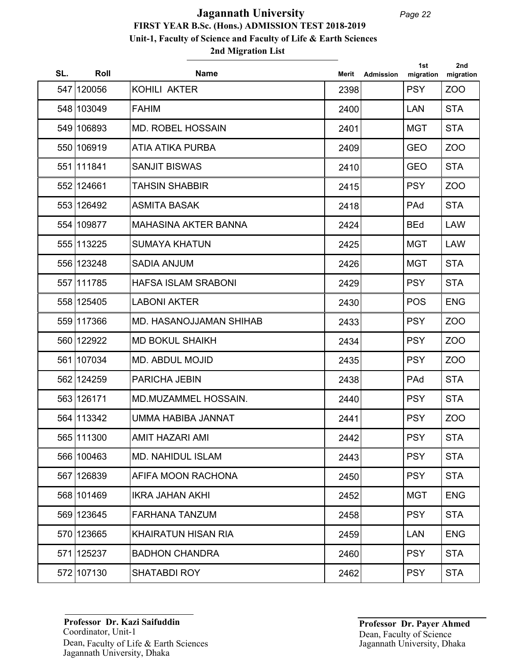| SL. | Roll       | <b>Name</b>                    | Merit | <b>Admission</b> | 1st<br>migration | 2nd<br>migration |
|-----|------------|--------------------------------|-------|------------------|------------------|------------------|
|     | 547 120056 | KOHILI AKTER                   | 2398  |                  | <b>PSY</b>       | ZO <sub>O</sub>  |
|     | 548 103049 | <b>FAHIM</b>                   | 2400  |                  | <b>LAN</b>       | <b>STA</b>       |
|     | 549 106893 | <b>MD. ROBEL HOSSAIN</b>       | 2401  |                  | <b>MGT</b>       | <b>STA</b>       |
|     | 550 106919 | ATIA ATIKA PURBA               | 2409  |                  | <b>GEO</b>       | ZOO              |
|     | 551 111841 | <b>SANJIT BISWAS</b>           | 2410  |                  | <b>GEO</b>       | <b>STA</b>       |
|     | 552 124661 | <b>TAHSIN SHABBIR</b>          | 2415  |                  | <b>PSY</b>       | ZO <sub>O</sub>  |
|     | 553 126492 | <b>ASMITA BASAK</b>            | 2418  |                  | PAd              | <b>STA</b>       |
|     | 554 109877 | <b>MAHASINA AKTER BANNA</b>    | 2424  |                  | <b>BEd</b>       | <b>LAW</b>       |
|     | 555 113225 | <b>SUMAYA KHATUN</b>           | 2425  |                  | <b>MGT</b>       | <b>LAW</b>       |
|     | 556 123248 | <b>SADIA ANJUM</b>             | 2426  |                  | <b>MGT</b>       | <b>STA</b>       |
|     | 557 111785 | <b>HAFSA ISLAM SRABONI</b>     | 2429  |                  | <b>PSY</b>       | <b>STA</b>       |
|     | 558 125405 | <b>LABONI AKTER</b>            | 2430  |                  | <b>POS</b>       | <b>ENG</b>       |
|     | 559 117366 | <b>MD. HASANOJJAMAN SHIHAB</b> | 2433  |                  | <b>PSY</b>       | ZO <sub>O</sub>  |
|     | 560 122922 | <b>MD BOKUL SHAIKH</b>         | 2434  |                  | <b>PSY</b>       | ZOO              |
|     | 561 107034 | <b>MD. ABDUL MOJID</b>         | 2435  |                  | <b>PSY</b>       | ZOO              |
|     | 562 124259 | <b>PARICHA JEBIN</b>           | 2438  |                  | PAd              | <b>STA</b>       |
|     | 563 126171 | <b>MD.MUZAMMEL HOSSAIN.</b>    | 2440  |                  | <b>PSY</b>       | <b>STA</b>       |
|     | 564 113342 | UMMA HABIBA JANNAT             | 2441  |                  | <b>PSY</b>       | ZOO              |
|     | 565 111300 | AMIT HAZARI AMI                | 2442  |                  | <b>PSY</b>       | <b>STA</b>       |
|     | 566 100463 | <b>MD. NAHIDUL ISLAM</b>       | 2443  |                  | <b>PSY</b>       | <b>STA</b>       |
|     | 567 126839 | AFIFA MOON RACHONA             | 2450  |                  | <b>PSY</b>       | <b>STA</b>       |
|     | 568 101469 | <b>IKRA JAHAN AKHI</b>         | 2452  |                  | <b>MGT</b>       | <b>ENG</b>       |
|     | 569 123645 | <b>FARHANA TANZUM</b>          | 2458  |                  | <b>PSY</b>       | <b>STA</b>       |
|     | 570 123665 | <b>KHAIRATUN HISAN RIA</b>     | 2459  |                  | <b>LAN</b>       | <b>ENG</b>       |
|     | 571 125237 | <b>BADHON CHANDRA</b>          | 2460  |                  | <b>PSY</b>       | <b>STA</b>       |
|     | 572 107130 | <b>SHATABDI ROY</b>            | 2462  |                  | <b>PSY</b>       | <b>STA</b>       |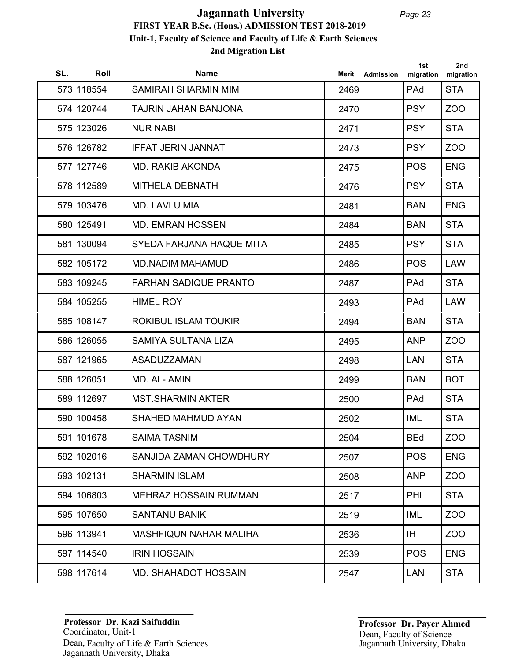## **2nd Migration List FIRST YEAR B.Sc. (Hons.) ADMISSION TEST 2018-2019 Unit-1, Faculty of Science and Faculty of Life & Earth Sciences Jagannath University**

| SL. | Roll       | <b>Name</b>                   | Merit | <b>Admission</b> | 1st<br>migration | 2nd<br>migration |
|-----|------------|-------------------------------|-------|------------------|------------------|------------------|
|     | 573 118554 | SAMIRAH SHARMIN MIM           | 2469  |                  | PAd              | <b>STA</b>       |
|     | 574 120744 | TAJRIN JAHAN BANJONA          | 2470  |                  | <b>PSY</b>       | ZOO              |
|     | 575 123026 | <b>NUR NABI</b>               | 2471  |                  | <b>PSY</b>       | <b>STA</b>       |
|     | 576 126782 | <b>IFFAT JERIN JANNAT</b>     | 2473  |                  | <b>PSY</b>       | ZOO              |
|     | 577 127746 | <b>MD. RAKIB AKONDA</b>       | 2475  |                  | <b>POS</b>       | <b>ENG</b>       |
|     | 578 112589 | <b>MITHELA DEBNATH</b>        | 2476  |                  | <b>PSY</b>       | <b>STA</b>       |
|     | 579 103476 | <b>MD. LAVLU MIA</b>          | 2481  |                  | <b>BAN</b>       | <b>ENG</b>       |
|     | 580 125491 | <b>MD. EMRAN HOSSEN</b>       | 2484  |                  | <b>BAN</b>       | <b>STA</b>       |
|     | 581 130094 | SYEDA FARJANA HAQUE MITA      | 2485  |                  | <b>PSY</b>       | <b>STA</b>       |
|     | 582 105172 | <b>MD.NADIM MAHAMUD</b>       | 2486  |                  | <b>POS</b>       | <b>LAW</b>       |
|     | 583 109245 | <b>FARHAN SADIQUE PRANTO</b>  | 2487  |                  | PAd              | <b>STA</b>       |
|     | 584 105255 | <b>HIMEL ROY</b>              | 2493  |                  | PAd              | <b>LAW</b>       |
|     | 585 108147 | ROKIBUL ISLAM TOUKIR          | 2494  |                  | <b>BAN</b>       | <b>STA</b>       |
|     | 586 126055 | <b>SAMIYA SULTANA LIZA</b>    | 2495  |                  | <b>ANP</b>       | ZOO              |
|     | 587 121965 | <b>ASADUZZAMAN</b>            | 2498  |                  | <b>LAN</b>       | <b>STA</b>       |
|     | 588 126051 | MD. AL-AMIN                   | 2499  |                  | <b>BAN</b>       | <b>BOT</b>       |
|     | 589 112697 | <b>MST.SHARMIN AKTER</b>      | 2500  |                  | PAd              | <b>STA</b>       |
|     | 590 100458 | <b>SHAHED MAHMUD AYAN</b>     | 2502  |                  | <b>IML</b>       | <b>STA</b>       |
|     | 591 101678 | <b>SAIMA TASNIM</b>           | 2504  |                  | <b>BEd</b>       | <b>ZOO</b>       |
|     | 592 102016 | SANJIDA ZAMAN CHOWDHURY       | 2507  |                  | <b>POS</b>       | <b>ENG</b>       |
|     | 593 102131 | <b>SHARMIN ISLAM</b>          | 2508  |                  | <b>ANP</b>       | ZOO              |
|     | 594 106803 | <b>MEHRAZ HOSSAIN RUMMAN</b>  | 2517  |                  | PHI              | <b>STA</b>       |
|     | 595 107650 | <b>SANTANU BANIK</b>          | 2519  |                  | IML              | ZOO              |
|     | 596 113941 | <b>MASHFIQUN NAHAR MALIHA</b> | 2536  |                  | IH.              | ZOO              |
|     | 597 114540 | <b>IRIN HOSSAIN</b>           | 2539  |                  | <b>POS</b>       | <b>ENG</b>       |
|     | 598 117614 | <b>MD. SHAHADOT HOSSAIN</b>   | 2547  |                  | <b>LAN</b>       | <b>STA</b>       |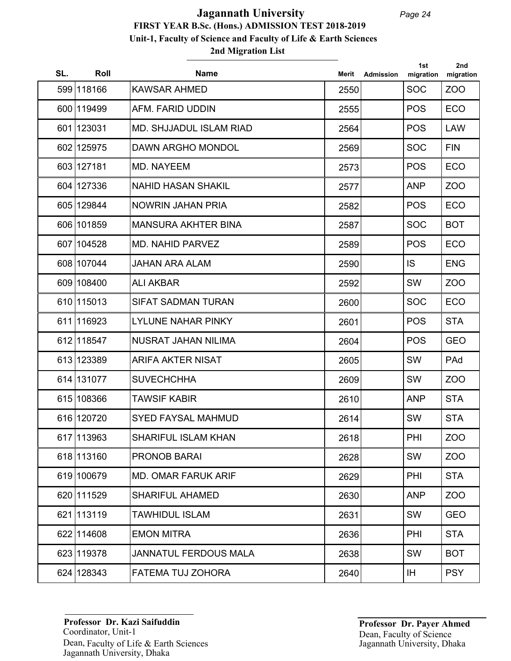# **2nd Migration List FIRST YEAR B.Sc. (Hons.) ADMISSION TEST 2018-2019 Unit-1, Faculty of Science and Faculty of Life & Earth Sciences Jagannath University**

| SL. | Roll       | <b>Name</b>                    | Merit | <b>Admission</b> | 1st<br>migration | 2nd<br>migration |
|-----|------------|--------------------------------|-------|------------------|------------------|------------------|
|     | 599 118166 | <b>KAWSAR AHMED</b>            | 2550  |                  | <b>SOC</b>       | ZOO              |
|     | 600 119499 | AFM. FARID UDDIN               | 2555  |                  | <b>POS</b>       | <b>ECO</b>       |
|     | 601 123031 | <b>MD. SHJJADUL ISLAM RIAD</b> | 2564  |                  | <b>POS</b>       | <b>LAW</b>       |
|     | 602 125975 | <b>DAWN ARGHO MONDOL</b>       | 2569  |                  | <b>SOC</b>       | <b>FIN</b>       |
|     | 603 127181 | MD. NAYEEM                     | 2573  |                  | <b>POS</b>       | <b>ECO</b>       |
|     | 604 127336 | <b>NAHID HASAN SHAKIL</b>      | 2577  |                  | <b>ANP</b>       | ZOO              |
|     | 605 129844 | <b>NOWRIN JAHAN PRIA</b>       | 2582  |                  | <b>POS</b>       | <b>ECO</b>       |
|     | 606 101859 | <b>MANSURA AKHTER BINA</b>     | 2587  |                  | <b>SOC</b>       | <b>BOT</b>       |
|     | 607 104528 | <b>MD. NAHID PARVEZ</b>        | 2589  |                  | <b>POS</b>       | <b>ECO</b>       |
|     | 608 107044 | <b>JAHAN ARA ALAM</b>          | 2590  |                  | IS.              | <b>ENG</b>       |
|     | 609 108400 | <b>ALI AKBAR</b>               | 2592  |                  | SW               | ZOO              |
|     | 610 115013 | <b>SIFAT SADMAN TURAN</b>      | 2600  |                  | <b>SOC</b>       | <b>ECO</b>       |
|     | 611 116923 | <b>LYLUNE NAHAR PINKY</b>      | 2601  |                  | <b>POS</b>       | <b>STA</b>       |
|     | 612 118547 | <b>NUSRAT JAHAN NILIMA</b>     | 2604  |                  | <b>POS</b>       | <b>GEO</b>       |
|     | 613 123389 | <b>ARIFA AKTER NISAT</b>       | 2605  |                  | SW               | PAd              |
|     | 614 131077 | <b>SUVECHCHHA</b>              | 2609  |                  | SW               | ZOO              |
|     | 615 108366 | <b>TAWSIF KABIR</b>            | 2610  |                  | <b>ANP</b>       | <b>STA</b>       |
|     | 616 120720 | <b>SYED FAYSAL MAHMUD</b>      | 2614  |                  | SW               | <b>STA</b>       |
|     | 617 113963 | <b>SHARIFUL ISLAM KHAN</b>     | 2618  |                  | PHI              | ZO <sub>O</sub>  |
|     | 618 113160 | <b>PRONOB BARAI</b>            | 2628  |                  | SW               | ZOO              |
|     | 619 100679 | <b>MD. OMAR FARUK ARIF</b>     | 2629  |                  | PHI              | <b>STA</b>       |
|     | 620 111529 | <b>SHARIFUL AHAMED</b>         | 2630  |                  | <b>ANP</b>       | ZOO              |
|     | 621 113119 | <b>TAWHIDUL ISLAM</b>          | 2631  |                  | SW               | <b>GEO</b>       |
|     | 622 114608 | <b>EMON MITRA</b>              | 2636  |                  | PHI              | <b>STA</b>       |
|     | 623 119378 | <b>JANNATUL FERDOUS MALA</b>   | 2638  |                  | SW               | <b>BOT</b>       |
|     | 624 128343 | FATEMA TUJ ZOHORA              | 2640  |                  | IH.              | <b>PSY</b>       |